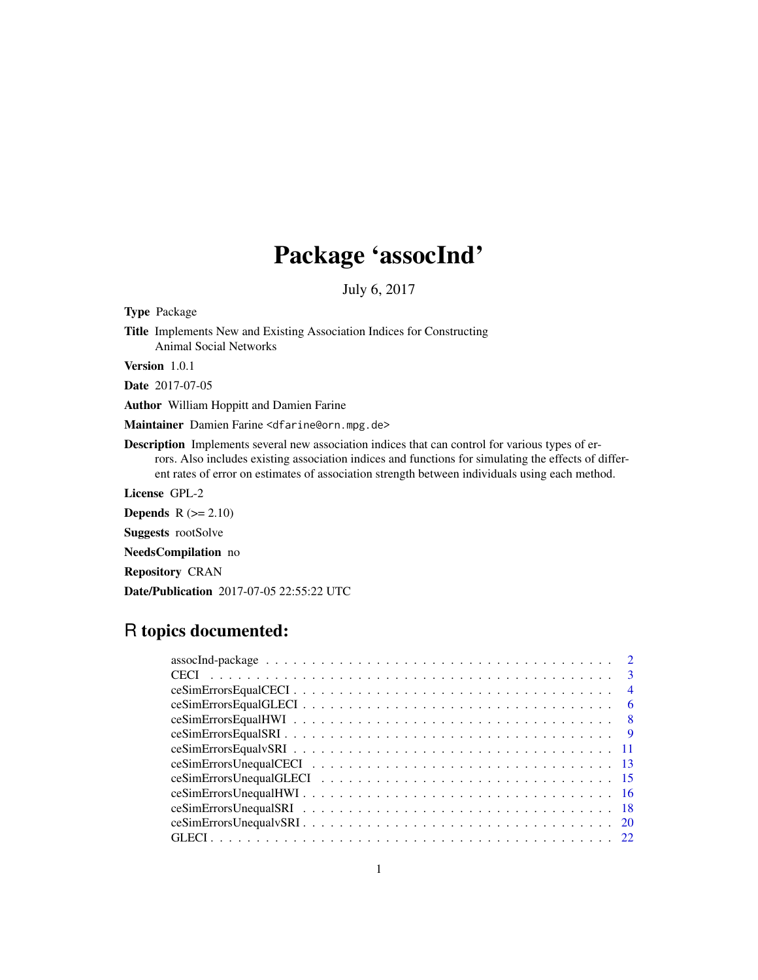# Package 'assocInd'

July 6, 2017

Type Package

Title Implements New and Existing Association Indices for Constructing Animal Social Networks

Version 1.0.1

Date 2017-07-05

Author William Hoppitt and Damien Farine

Maintainer Damien Farine <dfarine@orn.mpg.de>

Description Implements several new association indices that can control for various types of errors. Also includes existing association indices and functions for simulating the effects of different rates of error on estimates of association strength between individuals using each method.

License GPL-2

Depends  $R$  ( $>= 2.10$ )

Suggests rootSolve

NeedsCompilation no

Repository CRAN

Date/Publication 2017-07-05 22:55:22 UTC

# R topics documented:

| -4  |
|-----|
| -6  |
| - 8 |
| - 9 |
|     |
|     |
|     |
|     |
|     |
|     |
|     |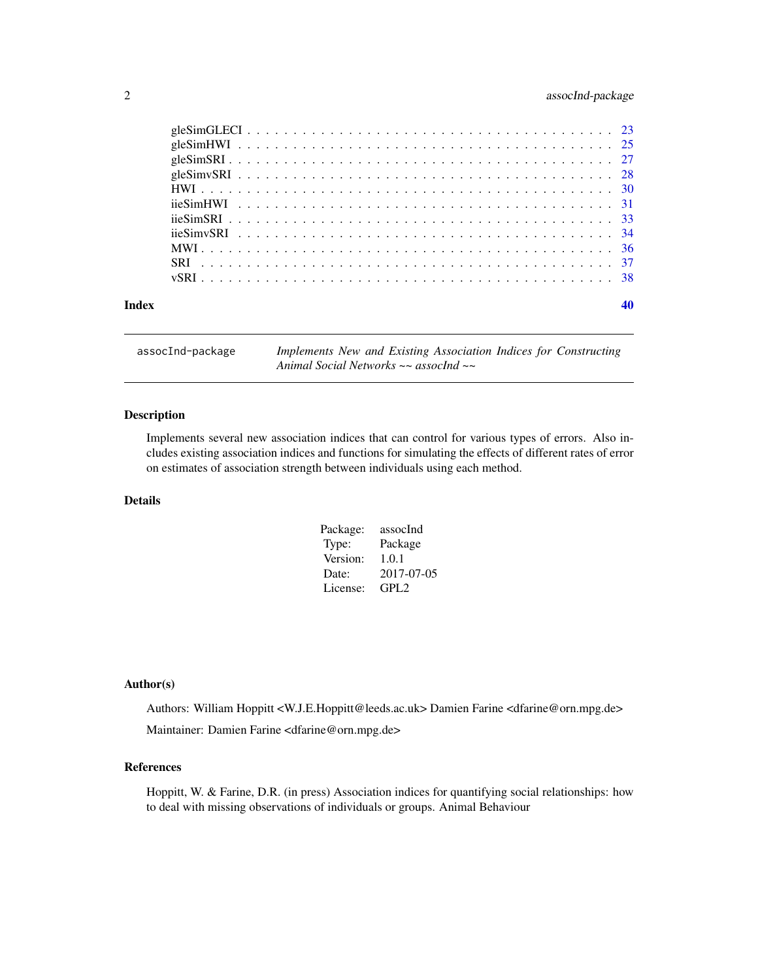# <span id="page-1-0"></span>2 assocInd-package

| Index |  |
|-------|--|
|       |  |
|       |  |
|       |  |
|       |  |
|       |  |
|       |  |
|       |  |
|       |  |
|       |  |
|       |  |
|       |  |

assocInd-package *Implements New and Existing Association Indices for Constructing Animal Social Networks ~~ assocInd ~~*

# Description

Implements several new association indices that can control for various types of errors. Also includes existing association indices and functions for simulating the effects of different rates of error on estimates of association strength between individuals using each method.

# Details

| Package: | assocInd         |
|----------|------------------|
| Type:    | Package          |
| Version: | 1.0.1            |
| Date:    | 2017-07-05       |
| License: | GPL <sub>2</sub> |

#### Author(s)

Authors: William Hoppitt <W.J.E.Hoppitt@leeds.ac.uk> Damien Farine <dfarine@orn.mpg.de> Maintainer: Damien Farine <dfarine@orn.mpg.de>

#### References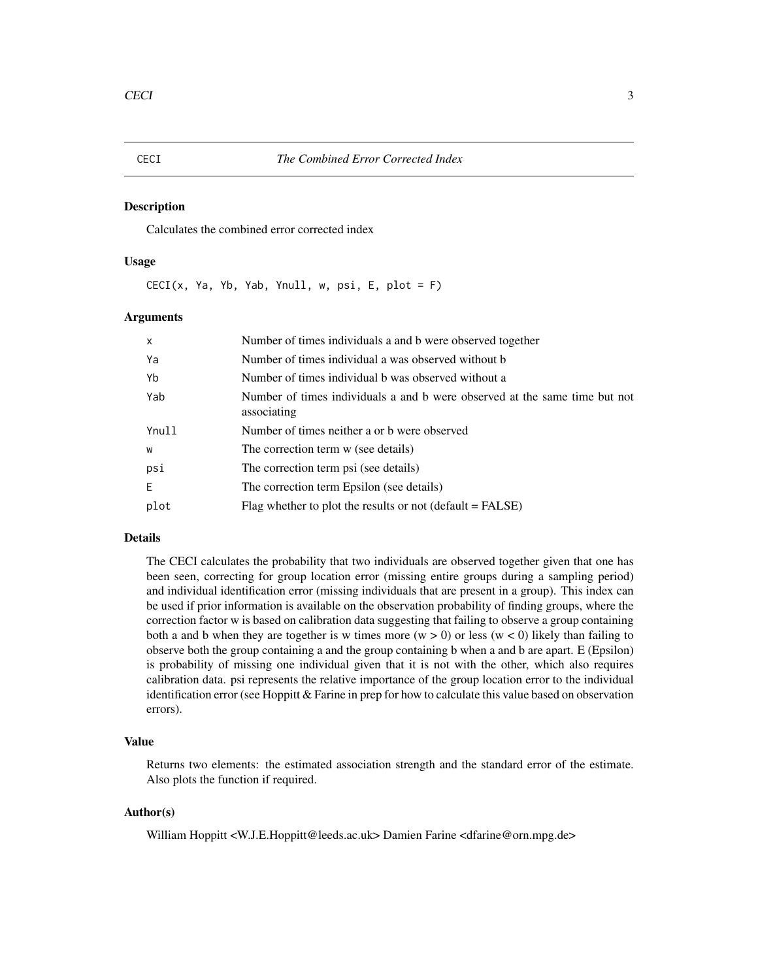#### <span id="page-2-0"></span>Description

Calculates the combined error corrected index

#### Usage

 $CECI(x, Ya, Yb, Yab, Ynull, w, psi, E, plot = F)$ 

#### Arguments

| $\mathsf{x}$ | Number of times individuals a and b were observed together                                |
|--------------|-------------------------------------------------------------------------------------------|
| Ya           | Number of times individual a was observed without b                                       |
| Yb           | Number of times individual b was observed without a                                       |
| Yab          | Number of times individuals a and b were observed at the same time but not<br>associating |
| Ynull        | Number of times neither a or b were observed                                              |
| W            | The correction term w (see details)                                                       |
| psi          | The correction term psi (see details)                                                     |
| E.           | The correction term Epsilon (see details)                                                 |
| plot         | Flag whether to plot the results or not $(default = FALSE)$                               |

# Details

The CECI calculates the probability that two individuals are observed together given that one has been seen, correcting for group location error (missing entire groups during a sampling period) and individual identification error (missing individuals that are present in a group). This index can be used if prior information is available on the observation probability of finding groups, where the correction factor w is based on calibration data suggesting that failing to observe a group containing both a and b when they are together is w times more ( $w > 0$ ) or less ( $w < 0$ ) likely than failing to observe both the group containing a and the group containing b when a and b are apart. E (Epsilon) is probability of missing one individual given that it is not with the other, which also requires calibration data. psi represents the relative importance of the group location error to the individual identification error (see Hoppitt & Farine in prep for how to calculate this value based on observation errors).

# Value

Returns two elements: the estimated association strength and the standard error of the estimate. Also plots the function if required.

#### Author(s)

William Hoppitt <W.J.E.Hoppitt@leeds.ac.uk> Damien Farine <dfarine@orn.mpg.de>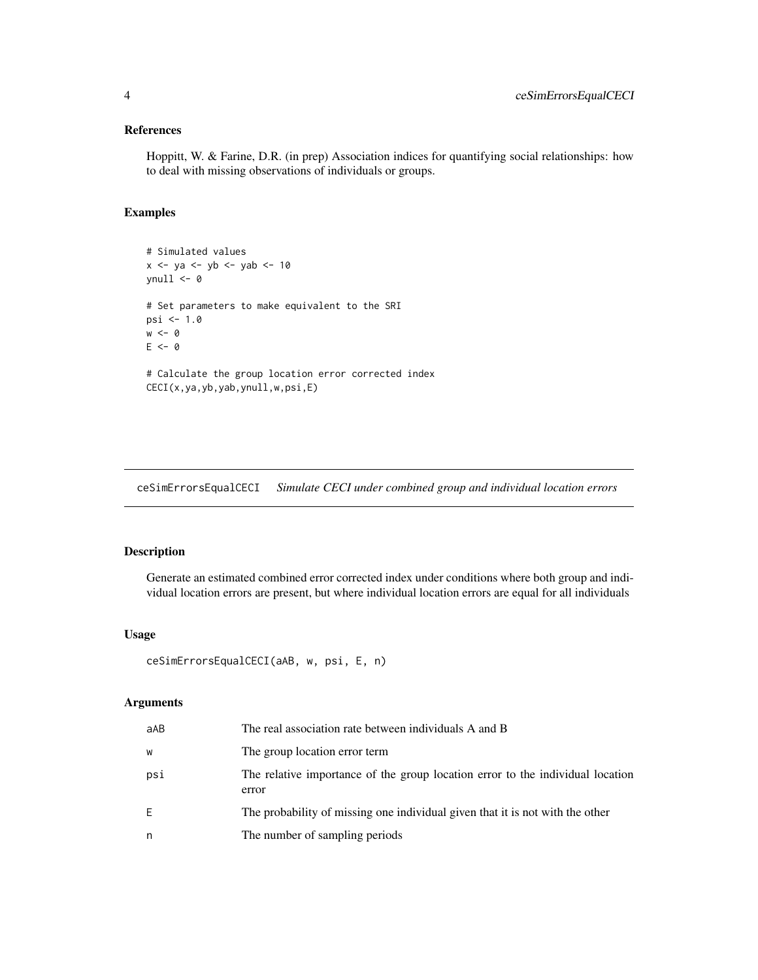# <span id="page-3-0"></span>References

Hoppitt, W. & Farine, D.R. (in prep) Association indices for quantifying social relationships: how to deal with missing observations of individuals or groups.

# Examples

```
# Simulated values
x <- ya <- yb <- yab <- 10
vnull \leftarrow 0# Set parameters to make equivalent to the SRI
psi <- 1.0
w < - \varnothingE < - \theta# Calculate the group location error corrected index
```
CECI(x,ya,yb,yab,ynull,w,psi,E)

ceSimErrorsEqualCECI *Simulate CECI under combined group and individual location errors*

# Description

Generate an estimated combined error corrected index under conditions where both group and individual location errors are present, but where individual location errors are equal for all individuals

# Usage

```
ceSimErrorsEqualCECI(aAB, w, psi, E, n)
```
# Arguments

| aAB | The real association rate between individuals A and B                                   |
|-----|-----------------------------------------------------------------------------------------|
| W   | The group location error term                                                           |
| psi | The relative importance of the group location error to the individual location<br>error |
| E   | The probability of missing one individual given that it is not with the other           |
| n   | The number of sampling periods                                                          |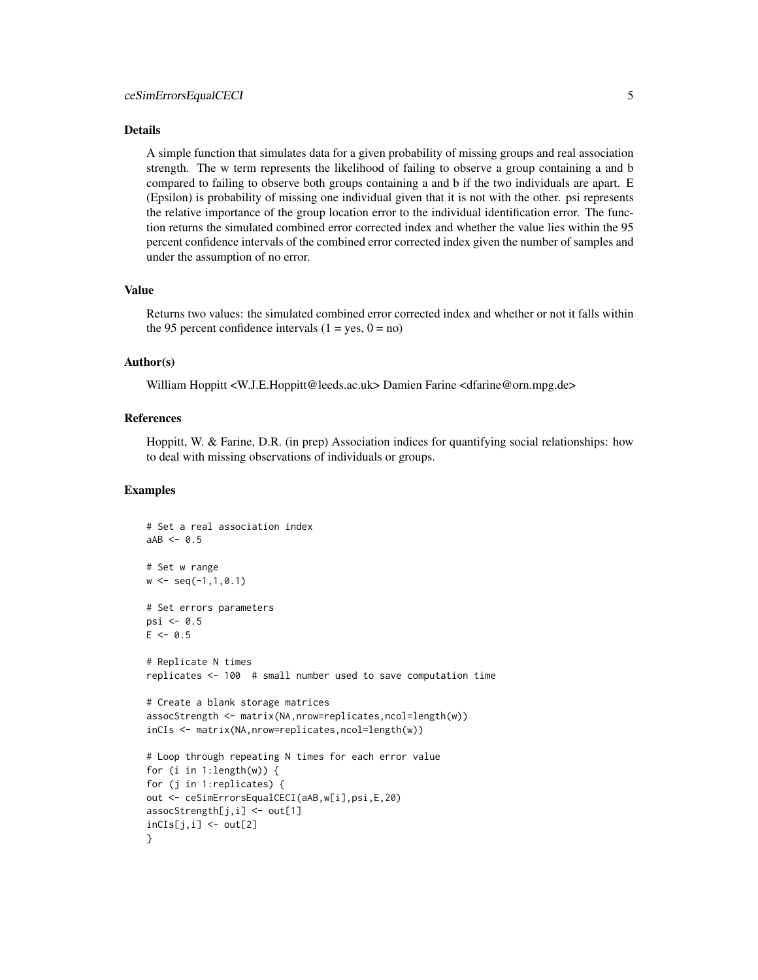#### Details

A simple function that simulates data for a given probability of missing groups and real association strength. The w term represents the likelihood of failing to observe a group containing a and b compared to failing to observe both groups containing a and b if the two individuals are apart. E (Epsilon) is probability of missing one individual given that it is not with the other. psi represents the relative importance of the group location error to the individual identification error. The function returns the simulated combined error corrected index and whether the value lies within the 95 percent confidence intervals of the combined error corrected index given the number of samples and under the assumption of no error.

#### Value

Returns two values: the simulated combined error corrected index and whether or not it falls within the 95 percent confidence intervals  $(1 = yes, 0 = no)$ 

# Author(s)

William Hoppitt <W.J.E.Hoppitt@leeds.ac.uk> Damien Farine <dfarine@orn.mpg.de>

#### References

Hoppitt, W. & Farine, D.R. (in prep) Association indices for quantifying social relationships: how to deal with missing observations of individuals or groups.

```
# Set a real association index
aAB < -0.5# Set w range
w \leq -\text{seq}(-1,1,0.1)# Set errors parameters
psi \leq 0.5E \le -0.5# Replicate N times
replicates <- 100 # small number used to save computation time
# Create a blank storage matrices
assocStrength <- matrix(NA,nrow=replicates,ncol=length(w))
inCIs <- matrix(NA,nrow=replicates,ncol=length(w))
# Loop through repeating N times for each error value
for (i in 1:length(w)) {
for (j in 1:replicates) {
out <- ceSimErrorsEqualCECI(aAB,w[i],psi,E,20)
assocStrength[j,i] <- out[1]
inCIs[j,i] < -out[2]}
```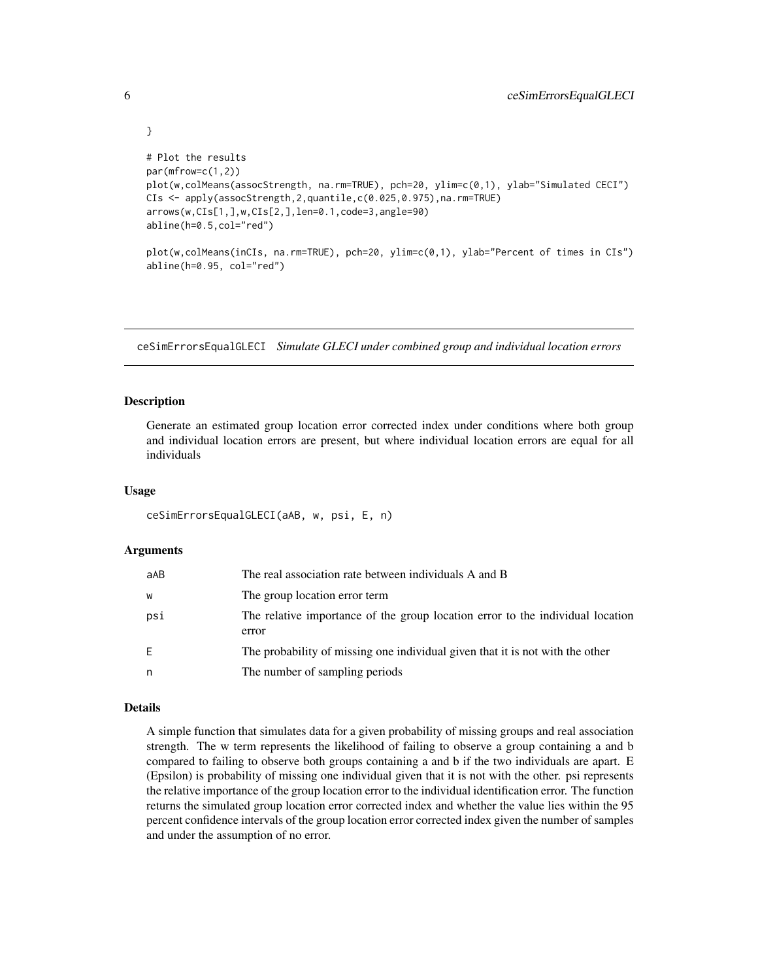```
# Plot the results
par(mfrow=c(1,2))
plot(w,colMeans(assocStrength, na.rm=TRUE), pch=20, ylim=c(0,1), ylab="Simulated CECI")
CIs <- apply(assocStrength,2,quantile,c(0.025,0.975),na.rm=TRUE)
arrows(w,CIs[1,],w,CIs[2,],len=0.1,code=3,angle=90)
abline(h=0.5,col="red")
plot(w,colMeans(inCIs, na.rm=TRUE), pch=20, ylim=c(0,1), ylab="Percent of times in CIs")
abline(h=0.95, col="red")
```
ceSimErrorsEqualGLECI *Simulate GLECI under combined group and individual location errors*

#### Description

<span id="page-5-0"></span>}

Generate an estimated group location error corrected index under conditions where both group and individual location errors are present, but where individual location errors are equal for all individuals

#### Usage

ceSimErrorsEqualGLECI(aAB, w, psi, E, n)

### Arguments

| aAB | The real association rate between individuals A and B                                   |
|-----|-----------------------------------------------------------------------------------------|
| W   | The group location error term                                                           |
| psi | The relative importance of the group location error to the individual location<br>error |
| E.  | The probability of missing one individual given that it is not with the other           |
| n   | The number of sampling periods                                                          |

#### Details

A simple function that simulates data for a given probability of missing groups and real association strength. The w term represents the likelihood of failing to observe a group containing a and b compared to failing to observe both groups containing a and b if the two individuals are apart. E (Epsilon) is probability of missing one individual given that it is not with the other. psi represents the relative importance of the group location error to the individual identification error. The function returns the simulated group location error corrected index and whether the value lies within the 95 percent confidence intervals of the group location error corrected index given the number of samples and under the assumption of no error.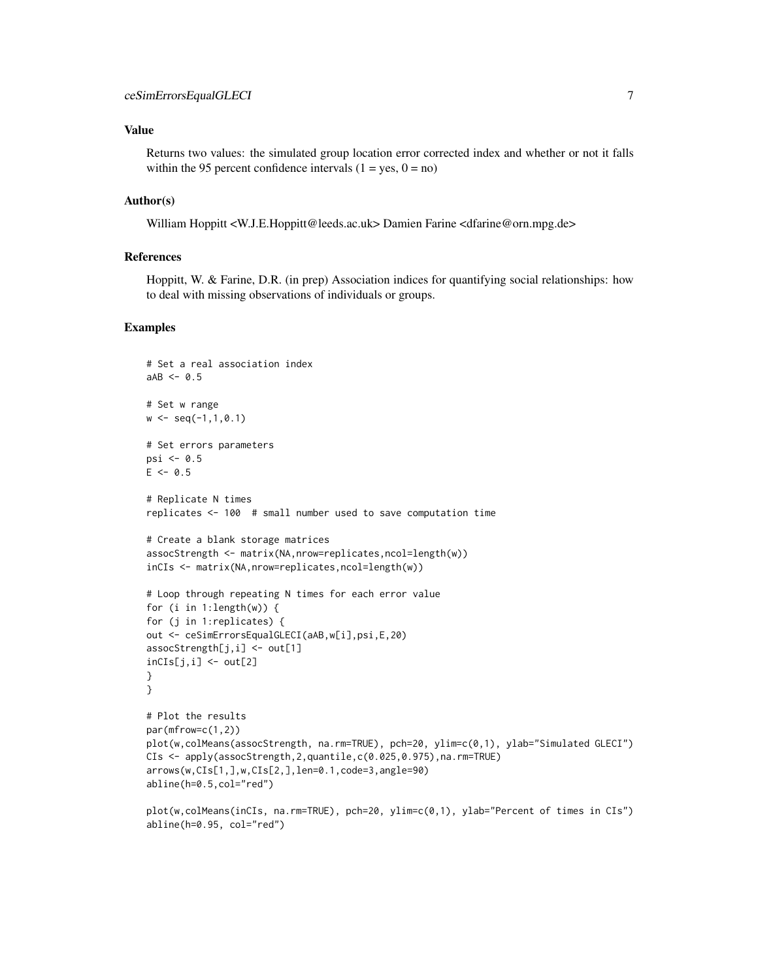### Value

Returns two values: the simulated group location error corrected index and whether or not it falls within the 95 percent confidence intervals  $(1 = yes, 0 = no)$ 

#### Author(s)

William Hoppitt <W.J.E.Hoppitt@leeds.ac.uk> Damien Farine <dfarine@orn.mpg.de>

### References

Hoppitt, W. & Farine, D.R. (in prep) Association indices for quantifying social relationships: how to deal with missing observations of individuals or groups.

```
# Set a real association index
aAB < -0.5# Set w range
w \leq -\text{seq}(-1,1,0.1)# Set errors parameters
psi \leq 0.5E \le -0.5# Replicate N times
replicates <- 100 # small number used to save computation time
# Create a blank storage matrices
assocStrength <- matrix(NA,nrow=replicates,ncol=length(w))
inCIs <- matrix(NA,nrow=replicates,ncol=length(w))
# Loop through repeating N times for each error value
for (i in 1:length(w)) {
for (j in 1:replicates) {
out <- ceSimErrorsEqualGLECI(aAB,w[i],psi,E,20)
assocStrength[j,i] <- out[1]
incIs[j,i] < -out[2]}
}
# Plot the results
par(mfrow=c(1,2))
plot(w,colMeans(assocStrength, na.rm=TRUE), pch=20, ylim=c(0,1), ylab="Simulated GLECI")
CIs <- apply(assocStrength,2,quantile,c(0.025,0.975),na.rm=TRUE)
arrows(w,CIs[1,],w,CIs[2,],len=0.1,code=3,angle=90)
abline(h=0.5,col="red")
plot(w,colMeans(inCIs, na.rm=TRUE), pch=20, ylim=c(0,1), ylab="Percent of times in CIs")
```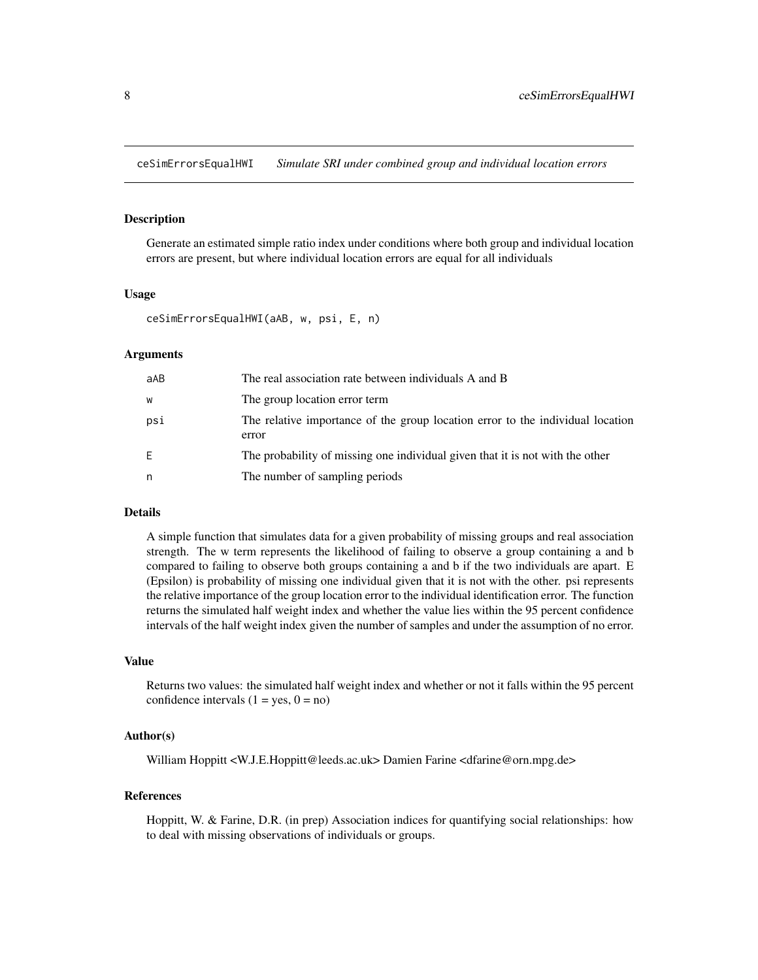<span id="page-7-0"></span>ceSimErrorsEqualHWI *Simulate SRI under combined group and individual location errors*

#### Description

Generate an estimated simple ratio index under conditions where both group and individual location errors are present, but where individual location errors are equal for all individuals

#### Usage

```
ceSimErrorsEqualHWI(aAB, w, psi, E, n)
```
#### Arguments

| aAB | The real association rate between individuals A and B                                   |
|-----|-----------------------------------------------------------------------------------------|
| W   | The group location error term                                                           |
| psi | The relative importance of the group location error to the individual location<br>error |
| E   | The probability of missing one individual given that it is not with the other           |
| n   | The number of sampling periods                                                          |

#### Details

A simple function that simulates data for a given probability of missing groups and real association strength. The w term represents the likelihood of failing to observe a group containing a and b compared to failing to observe both groups containing a and b if the two individuals are apart. E (Epsilon) is probability of missing one individual given that it is not with the other. psi represents the relative importance of the group location error to the individual identification error. The function returns the simulated half weight index and whether the value lies within the 95 percent confidence intervals of the half weight index given the number of samples and under the assumption of no error.

# Value

Returns two values: the simulated half weight index and whether or not it falls within the 95 percent confidence intervals  $(1 = yes, 0 = no)$ 

# Author(s)

William Hoppitt <W.J.E.Hoppitt@leeds.ac.uk> Damien Farine <dfarine@orn.mpg.de>

#### References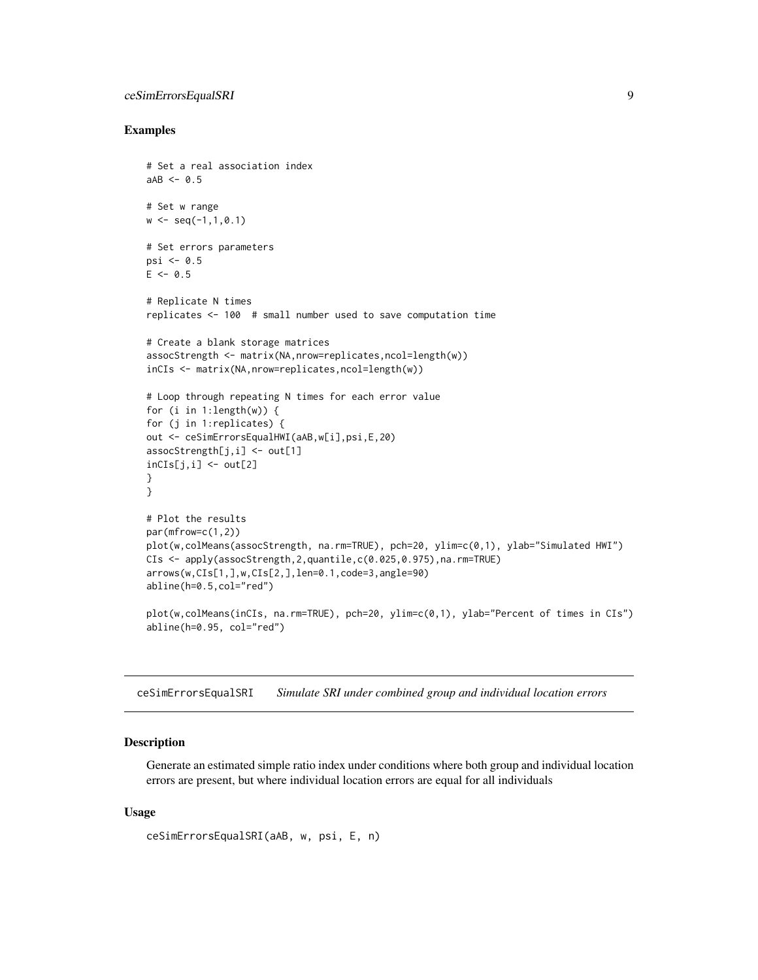# <span id="page-8-0"></span>ceSimErrorsEqualSRI 9

#### Examples

```
# Set a real association index
aAB < -0.5# Set w range
w \leq -\text{seq}(-1,1,0.1)# Set errors parameters
psi \leq 0.5E \le -0.5# Replicate N times
replicates <- 100 # small number used to save computation time
# Create a blank storage matrices
assocStrength <- matrix(NA,nrow=replicates,ncol=length(w))
inCIs <- matrix(NA,nrow=replicates,ncol=length(w))
# Loop through repeating N times for each error value
for (i in 1:length(w)) {
for (j in 1:replicates) {
out <- ceSimErrorsEqualHWI(aAB,w[i],psi,E,20)
assocStrength[j,i] <- out[1]
inCIs[j,i] < -out[2]}
}
# Plot the results
par(mfrow=c(1,2))
plot(w,colMeans(assocStrength, na.rm=TRUE), pch=20, ylim=c(0,1), ylab="Simulated HWI")
CIs <- apply(assocStrength,2,quantile,c(0.025,0.975),na.rm=TRUE)
arrows(w,CIs[1,],w,CIs[2,],len=0.1,code=3,angle=90)
abline(h=0.5,col="red")
plot(w,colMeans(inCIs, na.rm=TRUE), pch=20, ylim=c(0,1), ylab="Percent of times in CIs")
abline(h=0.95, col="red")
```
ceSimErrorsEqualSRI *Simulate SRI under combined group and individual location errors*

# Description

Generate an estimated simple ratio index under conditions where both group and individual location errors are present, but where individual location errors are equal for all individuals

#### Usage

```
ceSimErrorsEqualSRI(aAB, w, psi, E, n)
```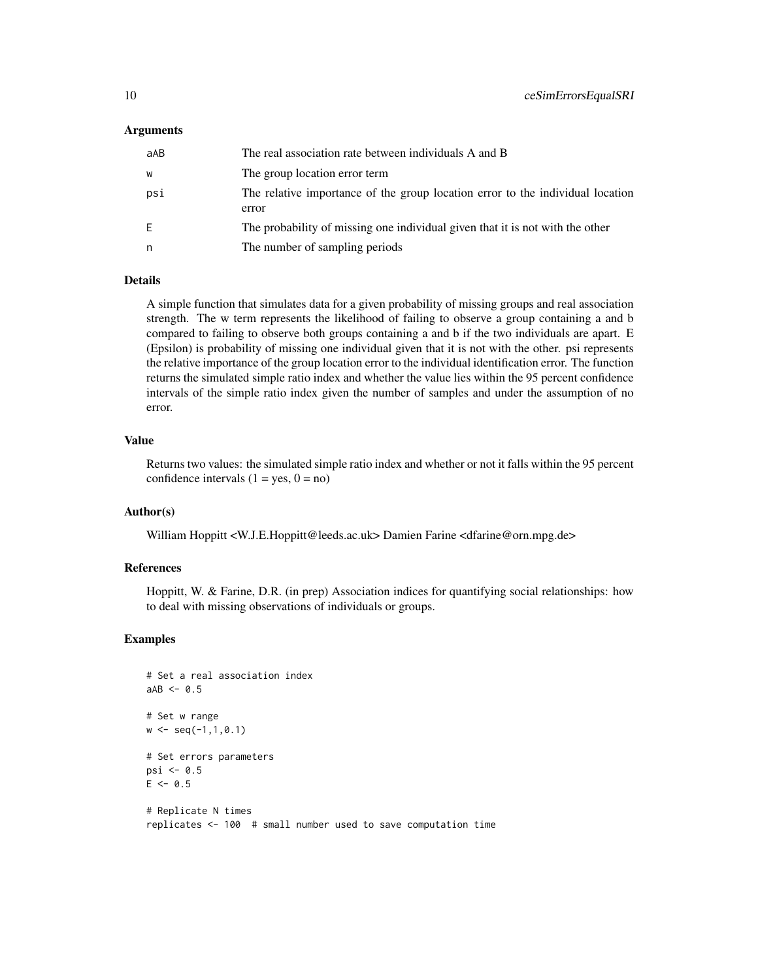#### Arguments

| aAB | The real association rate between individuals A and B                                   |
|-----|-----------------------------------------------------------------------------------------|
| W   | The group location error term                                                           |
| psi | The relative importance of the group location error to the individual location<br>error |
| E.  | The probability of missing one individual given that it is not with the other           |
| n   | The number of sampling periods                                                          |
|     |                                                                                         |

#### Details

A simple function that simulates data for a given probability of missing groups and real association strength. The w term represents the likelihood of failing to observe a group containing a and b compared to failing to observe both groups containing a and b if the two individuals are apart. E (Epsilon) is probability of missing one individual given that it is not with the other. psi represents the relative importance of the group location error to the individual identification error. The function returns the simulated simple ratio index and whether the value lies within the 95 percent confidence intervals of the simple ratio index given the number of samples and under the assumption of no error.

#### Value

Returns two values: the simulated simple ratio index and whether or not it falls within the 95 percent confidence intervals  $(1 = yes, 0 = no)$ 

#### Author(s)

William Hoppitt <W.J.E.Hoppitt@leeds.ac.uk> Damien Farine <dfarine@orn.mpg.de>

#### References

Hoppitt, W. & Farine, D.R. (in prep) Association indices for quantifying social relationships: how to deal with missing observations of individuals or groups.

```
# Set a real association index
aAB \leftarrow 0.5# Set w range
w \leq -\text{seq}(-1,1,0.1)# Set errors parameters
psi \leq 0.5E \le -0.5# Replicate N times
replicates <- 100 # small number used to save computation time
```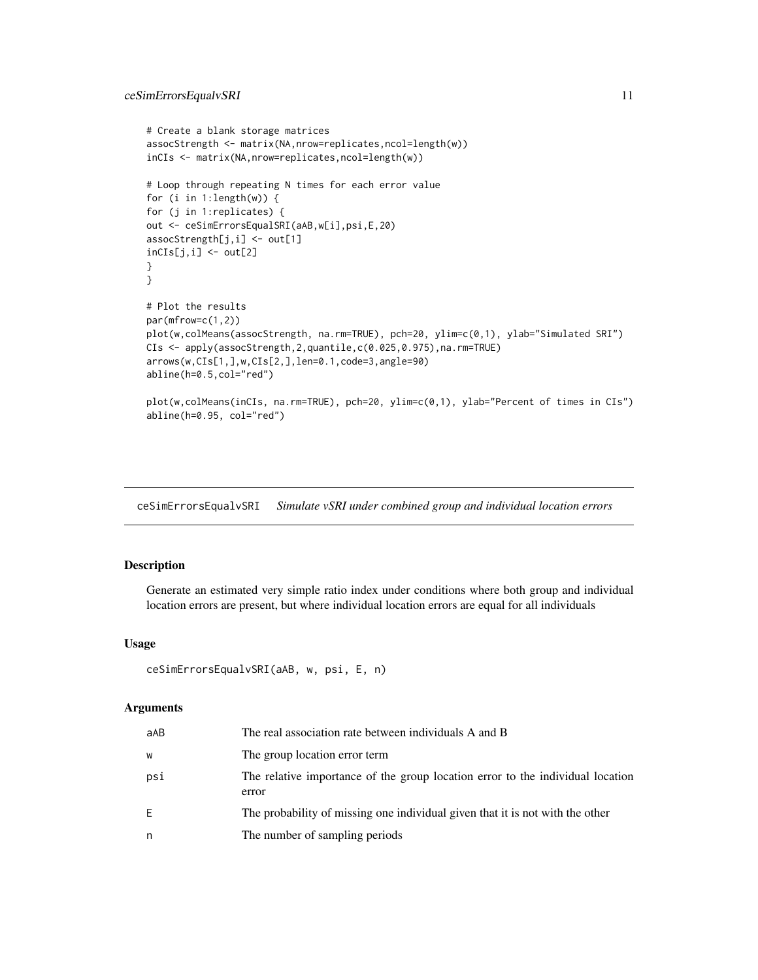```
# Create a blank storage matrices
assocStrength <- matrix(NA,nrow=replicates,ncol=length(w))
inCIs <- matrix(NA,nrow=replicates,ncol=length(w))
# Loop through repeating N times for each error value
for (i in 1:length(w)) {
for (j in 1:replicates) {
out <- ceSimErrorsEqualSRI(aAB,w[i],psi,E,20)
assocStrength[j,i] <- out[1]
inCIs[j,i] < -out[2]}
}
# Plot the results
par(mfrow=c(1,2))
plot(w,colMeans(assocStrength, na.rm=TRUE), pch=20, ylim=c(0,1), ylab="Simulated SRI")
CIs <- apply(assocStrength,2,quantile,c(0.025,0.975),na.rm=TRUE)
arrows(w,CIs[1,],w,CIs[2,],len=0.1,code=3,angle=90)
abline(h=0.5,col="red")
plot(w,colMeans(inCIs, na.rm=TRUE), pch=20, ylim=c(0,1), ylab="Percent of times in CIs")
abline(h=0.95, col="red")
```
ceSimErrorsEqualvSRI *Simulate vSRI under combined group and individual location errors*

# Description

Generate an estimated very simple ratio index under conditions where both group and individual location errors are present, but where individual location errors are equal for all individuals

#### Usage

```
ceSimErrorsEqualvSRI(aAB, w, psi, E, n)
```
#### Arguments

| aAB | The real association rate between individuals A and B                                   |
|-----|-----------------------------------------------------------------------------------------|
| w   | The group location error term                                                           |
| psi | The relative importance of the group location error to the individual location<br>error |
| E.  | The probability of missing one individual given that it is not with the other           |
| n   | The number of sampling periods                                                          |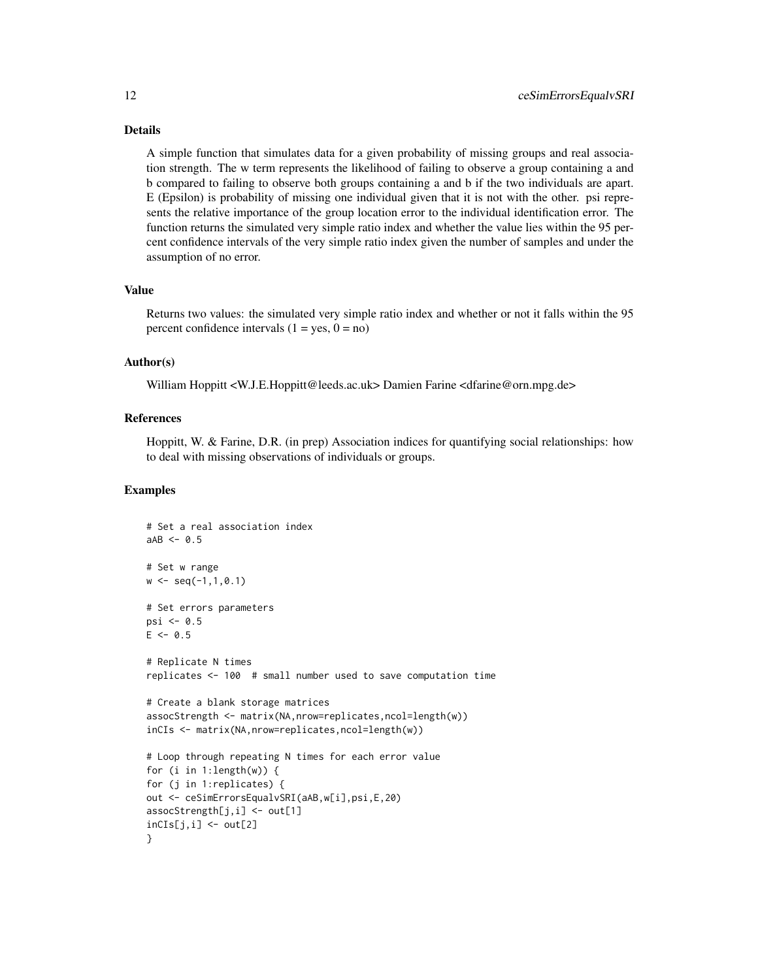#### Details

A simple function that simulates data for a given probability of missing groups and real association strength. The w term represents the likelihood of failing to observe a group containing a and b compared to failing to observe both groups containing a and b if the two individuals are apart. E (Epsilon) is probability of missing one individual given that it is not with the other. psi represents the relative importance of the group location error to the individual identification error. The function returns the simulated very simple ratio index and whether the value lies within the 95 percent confidence intervals of the very simple ratio index given the number of samples and under the assumption of no error.

# Value

Returns two values: the simulated very simple ratio index and whether or not it falls within the 95 percent confidence intervals  $(1 = yes, 0 = no)$ 

# Author(s)

William Hoppitt <W.J.E.Hoppitt@leeds.ac.uk> Damien Farine <dfarine@orn.mpg.de>

### References

Hoppitt, W. & Farine, D.R. (in prep) Association indices for quantifying social relationships: how to deal with missing observations of individuals or groups.

```
# Set a real association index
aAB < -0.5# Set w range
w \leq -\text{seq}(-1,1,0.1)# Set errors parameters
psi \leq 0.5E \le -0.5# Replicate N times
replicates <- 100 # small number used to save computation time
# Create a blank storage matrices
assocStrength <- matrix(NA,nrow=replicates,ncol=length(w))
inCIs <- matrix(NA,nrow=replicates,ncol=length(w))
# Loop through repeating N times for each error value
for (i in 1:length(w)) {
for (j in 1:replicates) {
out <- ceSimErrorsEqualvSRI(aAB,w[i],psi,E,20)
assocStrength[j,i] <- out[1]
inCIs[j,i] < -out[2]}
```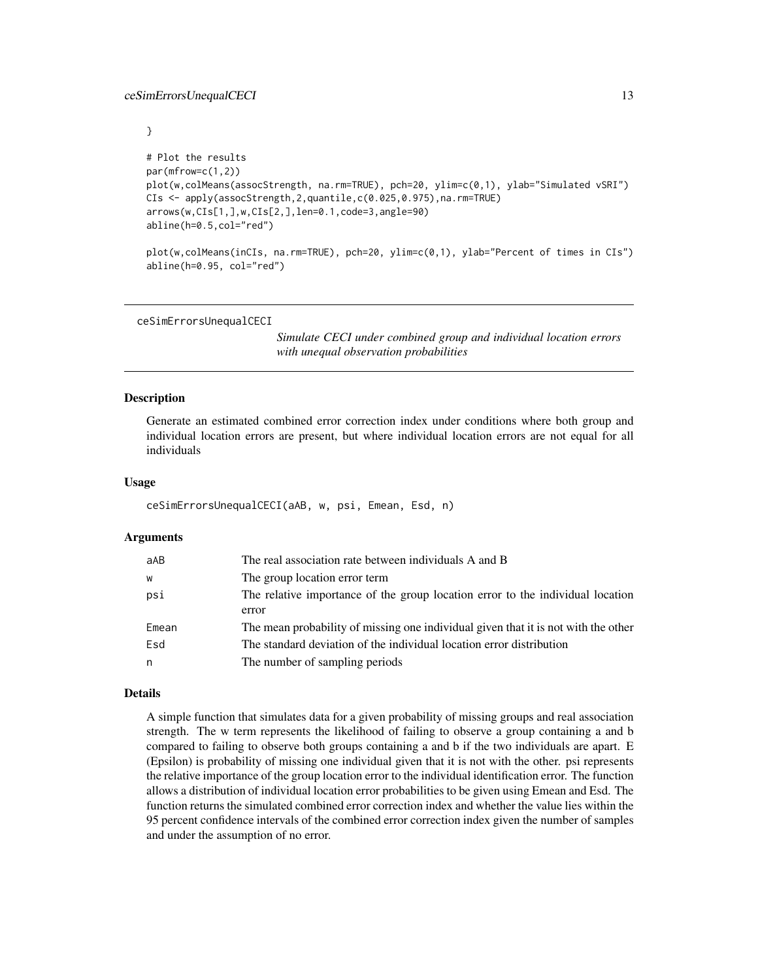<span id="page-12-0"></span>}

```
# Plot the results
par(mfrow=c(1,2))
plot(w,colMeans(assocStrength, na.rm=TRUE), pch=20, ylim=c(0,1), ylab="Simulated vSRI")
CIs <- apply(assocStrength,2,quantile,c(0.025,0.975),na.rm=TRUE)
arrows(w,CIs[1,],w,CIs[2,],len=0.1,code=3,angle=90)
abline(h=0.5,col="red")
```
plot(w,colMeans(inCIs, na.rm=TRUE), pch=20, ylim=c(0,1), ylab="Percent of times in CIs") abline(h=0.95, col="red")

ceSimErrorsUnequalCECI

*Simulate CECI under combined group and individual location errors with unequal observation probabilities*

#### Description

Generate an estimated combined error correction index under conditions where both group and individual location errors are present, but where individual location errors are not equal for all individuals

#### Usage

```
ceSimErrorsUnequalCECI(aAB, w, psi, Emean, Esd, n)
```
#### Arguments

| aAB   | The real association rate between individuals A and B                                   |
|-------|-----------------------------------------------------------------------------------------|
| W     | The group location error term                                                           |
| psi   | The relative importance of the group location error to the individual location<br>error |
| Emean | The mean probability of missing one individual given that it is not with the other      |
| Esd   | The standard deviation of the individual location error distribution                    |
| n     | The number of sampling periods                                                          |

# Details

A simple function that simulates data for a given probability of missing groups and real association strength. The w term represents the likelihood of failing to observe a group containing a and b compared to failing to observe both groups containing a and b if the two individuals are apart. E (Epsilon) is probability of missing one individual given that it is not with the other. psi represents the relative importance of the group location error to the individual identification error. The function allows a distribution of individual location error probabilities to be given using Emean and Esd. The function returns the simulated combined error correction index and whether the value lies within the 95 percent confidence intervals of the combined error correction index given the number of samples and under the assumption of no error.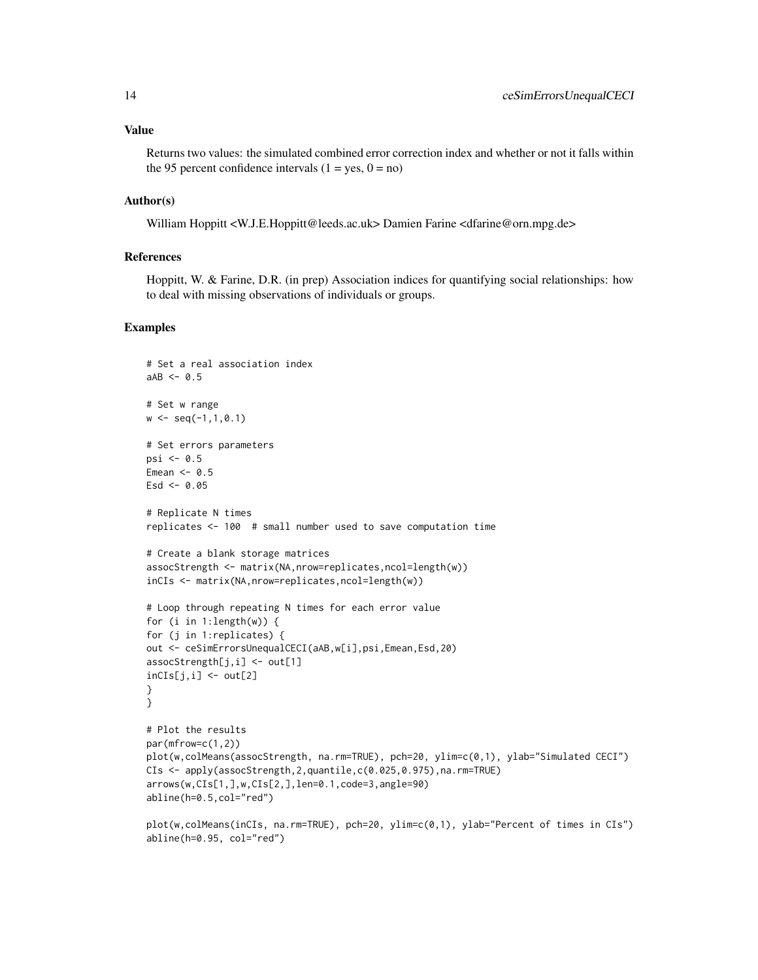#### Value

Returns two values: the simulated combined error correction index and whether or not it falls within the 95 percent confidence intervals  $(1 = yes, 0 = no)$ 

#### Author(s)

William Hoppitt <W.J.E.Hoppitt@leeds.ac.uk> Damien Farine <dfarine@orn.mpg.de>

### References

Hoppitt, W. & Farine, D.R. (in prep) Association indices for quantifying social relationships: how to deal with missing observations of individuals or groups.

```
# Set a real association index
aAB < -0.5# Set w range
w \leq -\text{seq}(-1,1,0.1)# Set errors parameters
psi \leq -0.5Emean <-0.5Esd <-0.05# Replicate N times
replicates <- 100 # small number used to save computation time
# Create a blank storage matrices
assocStrength <- matrix(NA,nrow=replicates,ncol=length(w))
inCIs <- matrix(NA,nrow=replicates,ncol=length(w))
# Loop through repeating N times for each error value
for (i in 1:length(w)) {
for (j in 1:replicates) {
out <- ceSimErrorsUnequalCECI(aAB,w[i],psi,Emean,Esd,20)
associStrength[j,i] < - out[1]
incIs[j,i] < -out[2]}
}
# Plot the results
par(mfrow=c(1,2))
plot(w,colMeans(assocStrength, na.rm=TRUE), pch=20, ylim=c(0,1), ylab="Simulated CECI")
CIs <- apply(assocStrength,2,quantile,c(0.025,0.975),na.rm=TRUE)
arrows(w,CIs[1,],w,CIs[2,],len=0.1,code=3,angle=90)
abline(h=0.5,col="red")
plot(w,colMeans(inCIs, na.rm=TRUE), pch=20, ylim=c(0,1), ylab="Percent of times in CIs")
abline(h=0.95, col="red")
```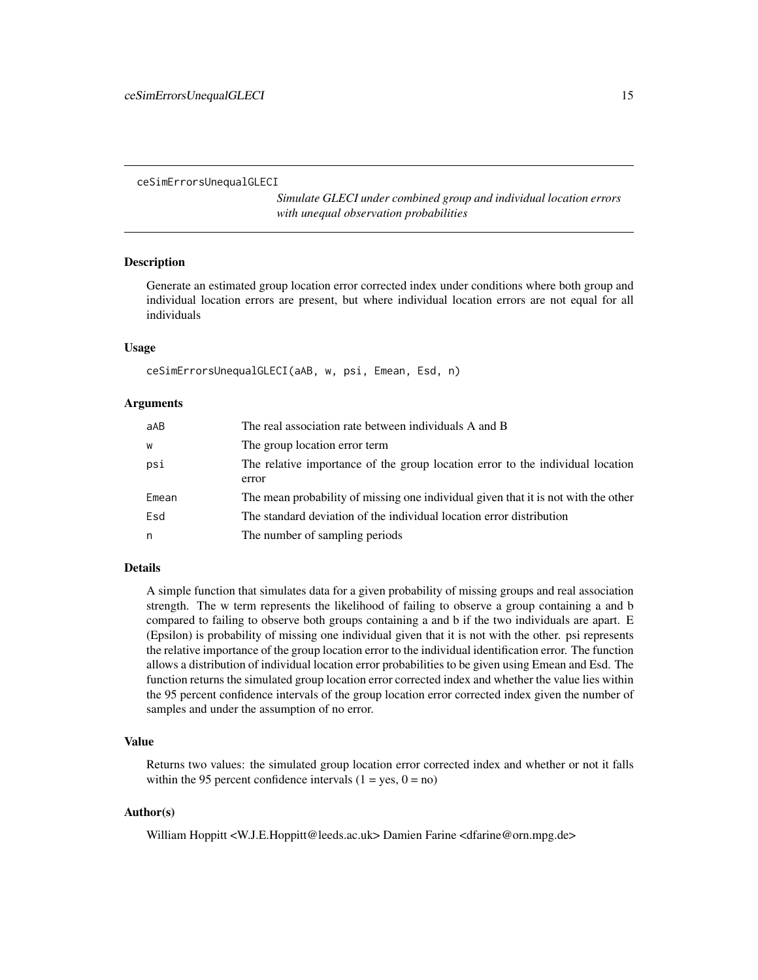<span id="page-14-0"></span>ceSimErrorsUnequalGLECI

*Simulate GLECI under combined group and individual location errors with unequal observation probabilities*

#### Description

Generate an estimated group location error corrected index under conditions where both group and individual location errors are present, but where individual location errors are not equal for all individuals

#### Usage

```
ceSimErrorsUnequalGLECI(aAB, w, psi, Emean, Esd, n)
```
#### Arguments

| aAB   | The real association rate between individuals A and B                                   |
|-------|-----------------------------------------------------------------------------------------|
| W     | The group location error term                                                           |
| psi   | The relative importance of the group location error to the individual location<br>error |
| Emean | The mean probability of missing one individual given that it is not with the other      |
| Esd   | The standard deviation of the individual location error distribution                    |
| n     | The number of sampling periods                                                          |

#### Details

A simple function that simulates data for a given probability of missing groups and real association strength. The w term represents the likelihood of failing to observe a group containing a and b compared to failing to observe both groups containing a and b if the two individuals are apart. E (Epsilon) is probability of missing one individual given that it is not with the other. psi represents the relative importance of the group location error to the individual identification error. The function allows a distribution of individual location error probabilities to be given using Emean and Esd. The function returns the simulated group location error corrected index and whether the value lies within the 95 percent confidence intervals of the group location error corrected index given the number of samples and under the assumption of no error.

# Value

Returns two values: the simulated group location error corrected index and whether or not it falls within the 95 percent confidence intervals  $(1 = yes, 0 = no)$ 

#### Author(s)

William Hoppitt <W.J.E.Hoppitt@leeds.ac.uk> Damien Farine <dfarine@orn.mpg.de>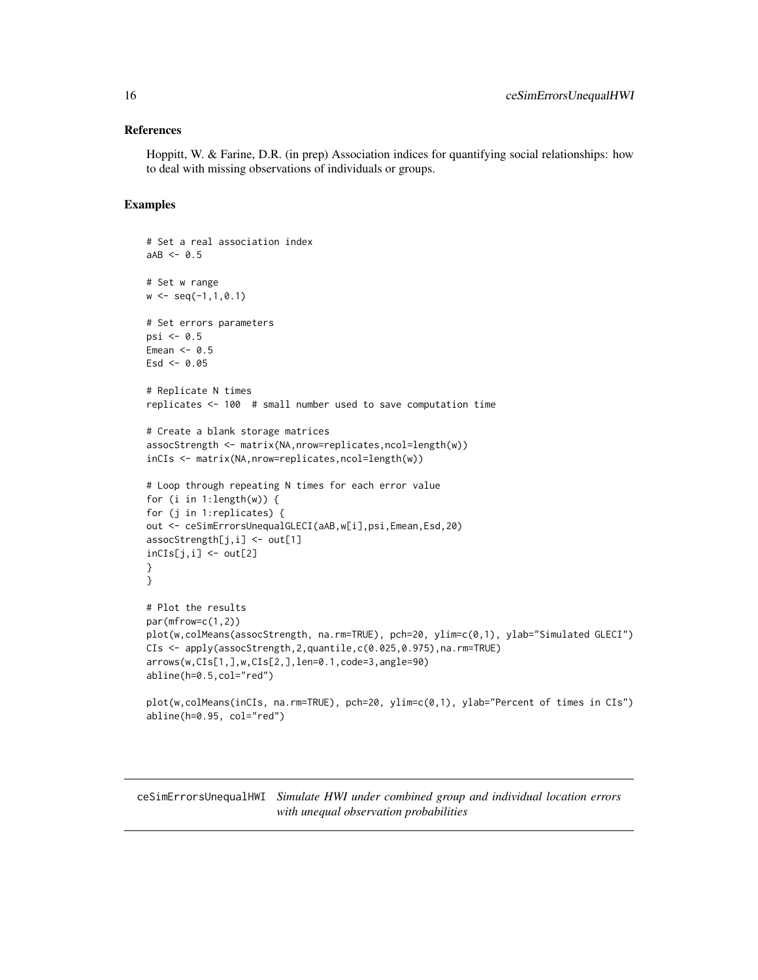#### <span id="page-15-0"></span>References

Hoppitt, W. & Farine, D.R. (in prep) Association indices for quantifying social relationships: how to deal with missing observations of individuals or groups.

# Examples

```
# Set a real association index
aAB < -0.5# Set w range
w \leq -\text{seq}(-1,1,0.1)# Set errors parameters
psi \leq 0.5Emean <- 0.5
Esd < -0.05# Replicate N times
replicates <- 100 # small number used to save computation time
# Create a blank storage matrices
assocStrength <- matrix(NA,nrow=replicates,ncol=length(w))
inCIs <- matrix(NA,nrow=replicates,ncol=length(w))
# Loop through repeating N times for each error value
for (i in 1:length(w)) {
for (j in 1:replicates) {
out <- ceSimErrorsUnequalGLECI(aAB,w[i],psi,Emean,Esd,20)
assocStrength[j,i] <- out[1]
incIs[j,i] < -out[2]}
}
# Plot the results
par(mfrow=c(1,2))
plot(w,colMeans(assocStrength, na.rm=TRUE), pch=20, ylim=c(0,1), ylab="Simulated GLECI")
CIs <- apply(assocStrength,2,quantile,c(0.025,0.975),na.rm=TRUE)
arrows(w,CIs[1,],w,CIs[2,],len=0.1,code=3,angle=90)
abline(h=0.5,col="red")
plot(w,colMeans(inCIs, na.rm=TRUE), pch=20, ylim=c(0,1), ylab="Percent of times in CIs")
abline(h=0.95, col="red")
```
ceSimErrorsUnequalHWI *Simulate HWI under combined group and individual location errors with unequal observation probabilities*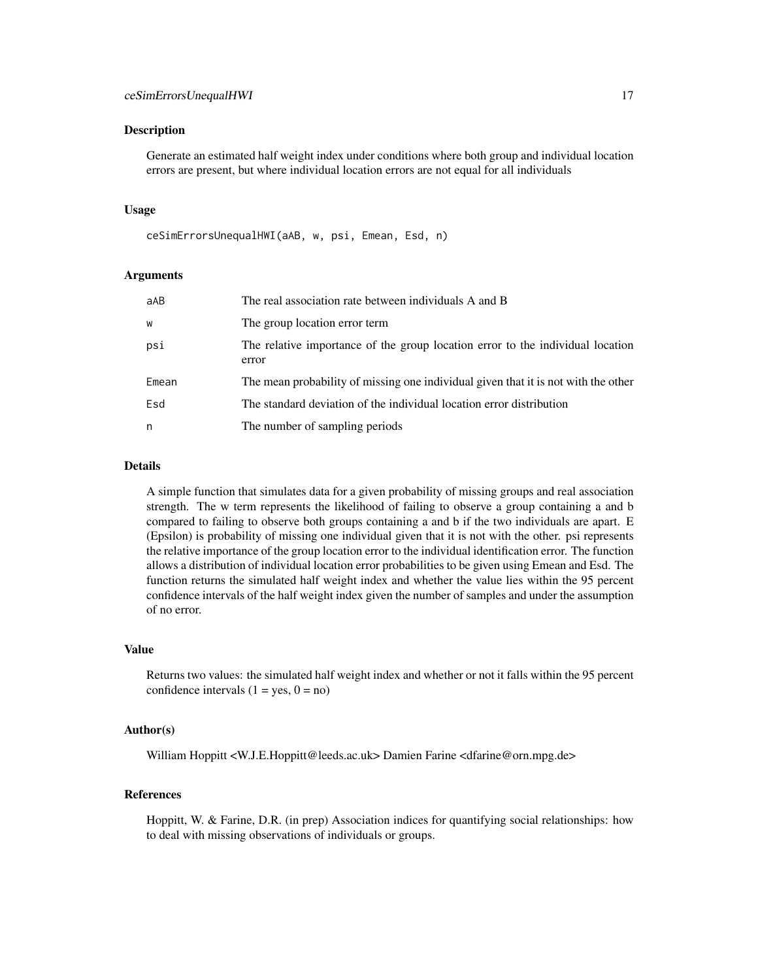#### Description

Generate an estimated half weight index under conditions where both group and individual location errors are present, but where individual location errors are not equal for all individuals

#### Usage

```
ceSimErrorsUnequalHWI(aAB, w, psi, Emean, Esd, n)
```
#### Arguments

| aAB   | The real association rate between individuals A and B                                   |
|-------|-----------------------------------------------------------------------------------------|
| w     | The group location error term                                                           |
| psi   | The relative importance of the group location error to the individual location<br>error |
| Emean | The mean probability of missing one individual given that it is not with the other      |
| Esd   | The standard deviation of the individual location error distribution                    |
| n     | The number of sampling periods                                                          |

#### Details

A simple function that simulates data for a given probability of missing groups and real association strength. The w term represents the likelihood of failing to observe a group containing a and b compared to failing to observe both groups containing a and b if the two individuals are apart. E (Epsilon) is probability of missing one individual given that it is not with the other. psi represents the relative importance of the group location error to the individual identification error. The function allows a distribution of individual location error probabilities to be given using Emean and Esd. The function returns the simulated half weight index and whether the value lies within the 95 percent confidence intervals of the half weight index given the number of samples and under the assumption of no error.

#### Value

Returns two values: the simulated half weight index and whether or not it falls within the 95 percent confidence intervals  $(1 = yes, 0 = no)$ 

#### Author(s)

William Hoppitt <W.J.E.Hoppitt@leeds.ac.uk> Damien Farine <dfarine@orn.mpg.de>

# References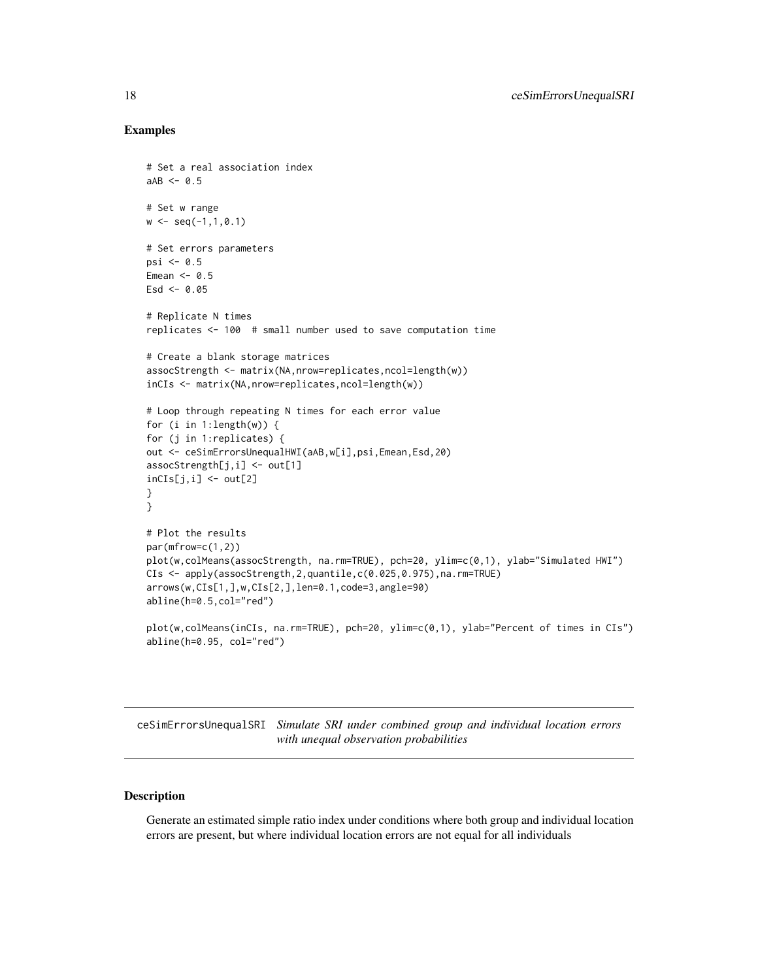#### Examples

```
# Set a real association index
aAB < -0.5# Set w range
w \leq -\text{seq}(-1,1,0.1)# Set errors parameters
psi \leq 0.5Emean <-0.5\text{Esd} < -0.05# Replicate N times
replicates <- 100 # small number used to save computation time
# Create a blank storage matrices
assocStrength <- matrix(NA,nrow=replicates,ncol=length(w))
inCIs <- matrix(NA,nrow=replicates,ncol=length(w))
# Loop through repeating N times for each error value
for (i in 1:length(w)) {
for (j in 1:replicates) {
out <- ceSimErrorsUnequalHWI(aAB,w[i],psi,Emean,Esd,20)
assocStrength[j,i] <- out[1]
incIs[j,i] < -out[2]}
}
# Plot the results
par(mfrow=c(1,2))
plot(w,colMeans(assocStrength, na.rm=TRUE), pch=20, ylim=c(0,1), ylab="Simulated HWI")
CIs <- apply(assocStrength,2,quantile,c(0.025,0.975),na.rm=TRUE)
arrows(w,CIs[1,],w,CIs[2,],len=0.1,code=3,angle=90)
abline(h=0.5,col="red")
plot(w,colMeans(inCIs, na.rm=TRUE), pch=20, ylim=c(0,1), ylab="Percent of times in CIs")
```
ceSimErrorsUnequalSRI *Simulate SRI under combined group and individual location errors with unequal observation probabilities*

## Description

abline(h=0.95, col="red")

Generate an estimated simple ratio index under conditions where both group and individual location errors are present, but where individual location errors are not equal for all individuals

<span id="page-17-0"></span>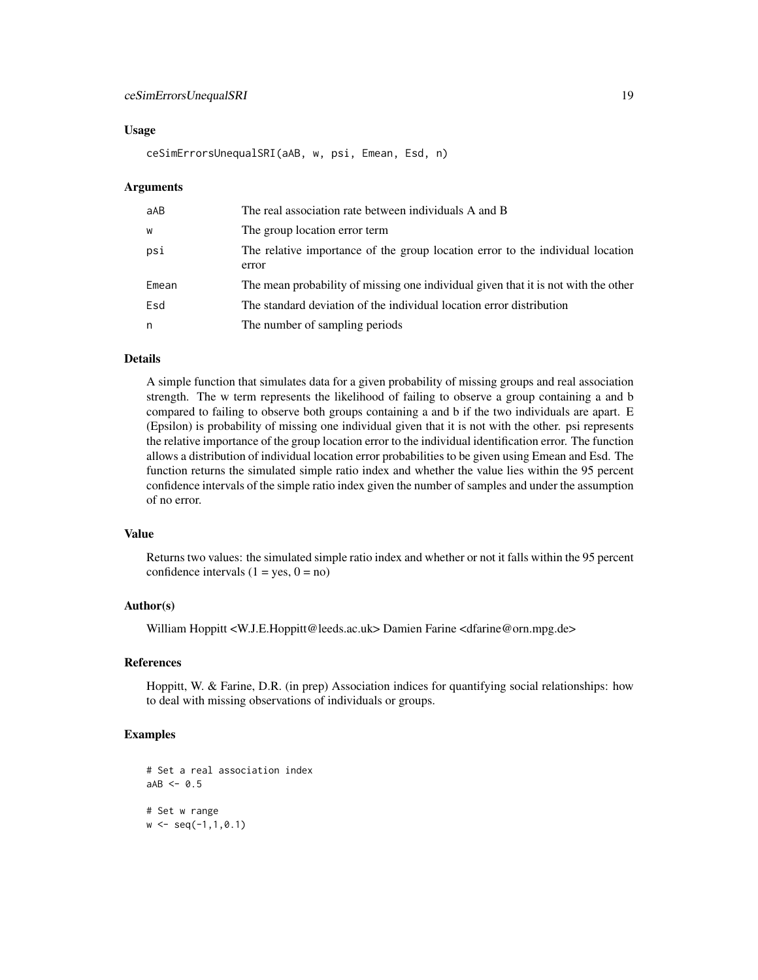#### Usage

ceSimErrorsUnequalSRI(aAB, w, psi, Emean, Esd, n)

#### Arguments

| aAB   | The real association rate between individuals A and B                                   |
|-------|-----------------------------------------------------------------------------------------|
| W     | The group location error term                                                           |
| psi   | The relative importance of the group location error to the individual location<br>error |
| Emean | The mean probability of missing one individual given that it is not with the other      |
| Esd   | The standard deviation of the individual location error distribution                    |
| n     | The number of sampling periods                                                          |

#### Details

A simple function that simulates data for a given probability of missing groups and real association strength. The w term represents the likelihood of failing to observe a group containing a and b compared to failing to observe both groups containing a and b if the two individuals are apart. E (Epsilon) is probability of missing one individual given that it is not with the other. psi represents the relative importance of the group location error to the individual identification error. The function allows a distribution of individual location error probabilities to be given using Emean and Esd. The function returns the simulated simple ratio index and whether the value lies within the 95 percent confidence intervals of the simple ratio index given the number of samples and under the assumption of no error.

# Value

Returns two values: the simulated simple ratio index and whether or not it falls within the 95 percent confidence intervals  $(1 = yes, 0 = no)$ 

# Author(s)

William Hoppitt <W.J.E.Hoppitt@leeds.ac.uk> Damien Farine <dfarine@orn.mpg.de>

#### References

Hoppitt, W. & Farine, D.R. (in prep) Association indices for quantifying social relationships: how to deal with missing observations of individuals or groups.

```
# Set a real association index
aAB < -0.5# Set w range
w \leq -\text{seq}(-1, 1, 0.1)
```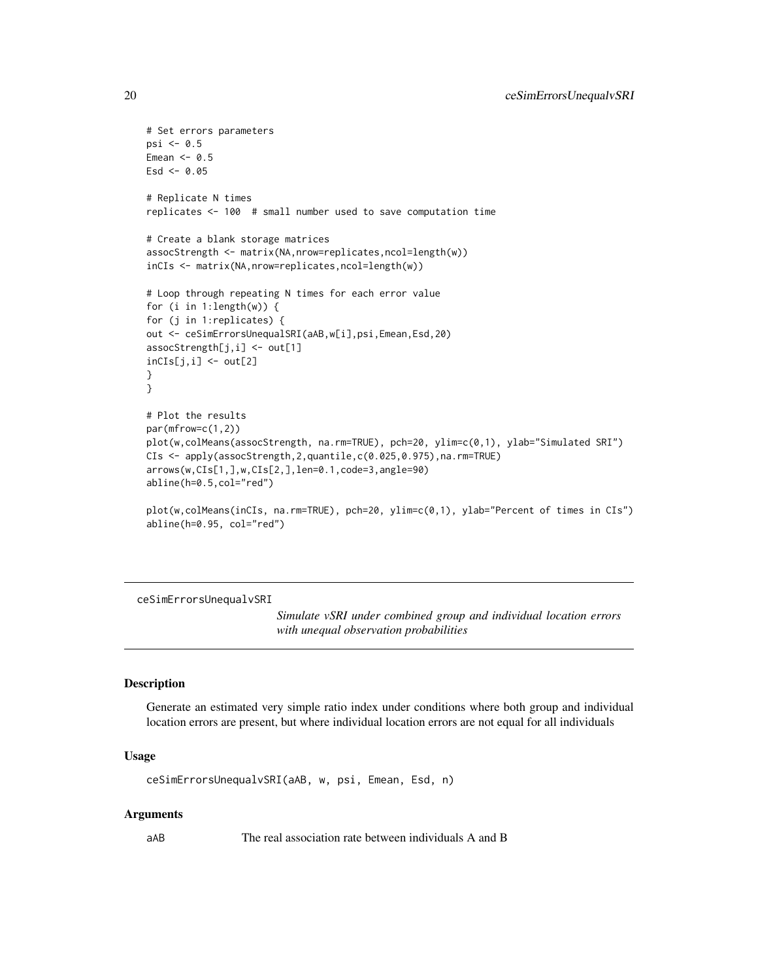```
# Set errors parameters
psi < -0.5Emean <-0.5Esd < -0.05# Replicate N times
replicates <- 100 # small number used to save computation time
# Create a blank storage matrices
assocStrength <- matrix(NA,nrow=replicates,ncol=length(w))
inCIs <- matrix(NA,nrow=replicates,ncol=length(w))
# Loop through repeating N times for each error value
for (i in 1:length(w)) {
for (j in 1:replicates) {
out <- ceSimErrorsUnequalSRI(aAB,w[i],psi,Emean,Esd,20)
assocStrength[j,i] <- out[1]
inCIs[j,i] < -out[2]}
}
# Plot the results
par(mfrow=c(1,2))
plot(w,colMeans(assocStrength, na.rm=TRUE), pch=20, ylim=c(0,1), ylab="Simulated SRI")
CIs <- apply(assocStrength,2,quantile,c(0.025,0.975),na.rm=TRUE)
arrows(w,CIs[1,],w,CIs[2,],len=0.1,code=3,angle=90)
abline(h=0.5,col="red")
plot(w,colMeans(inCIs, na.rm=TRUE), pch=20, ylim=c(0,1), ylab="Percent of times in CIs")
abline(h=0.95, col="red")
```
ceSimErrorsUnequalvSRI

*Simulate vSRI under combined group and individual location errors with unequal observation probabilities*

#### Description

Generate an estimated very simple ratio index under conditions where both group and individual location errors are present, but where individual location errors are not equal for all individuals

#### Usage

ceSimErrorsUnequalvSRI(aAB, w, psi, Emean, Esd, n)

#### Arguments

aAB The real association rate between individuals A and B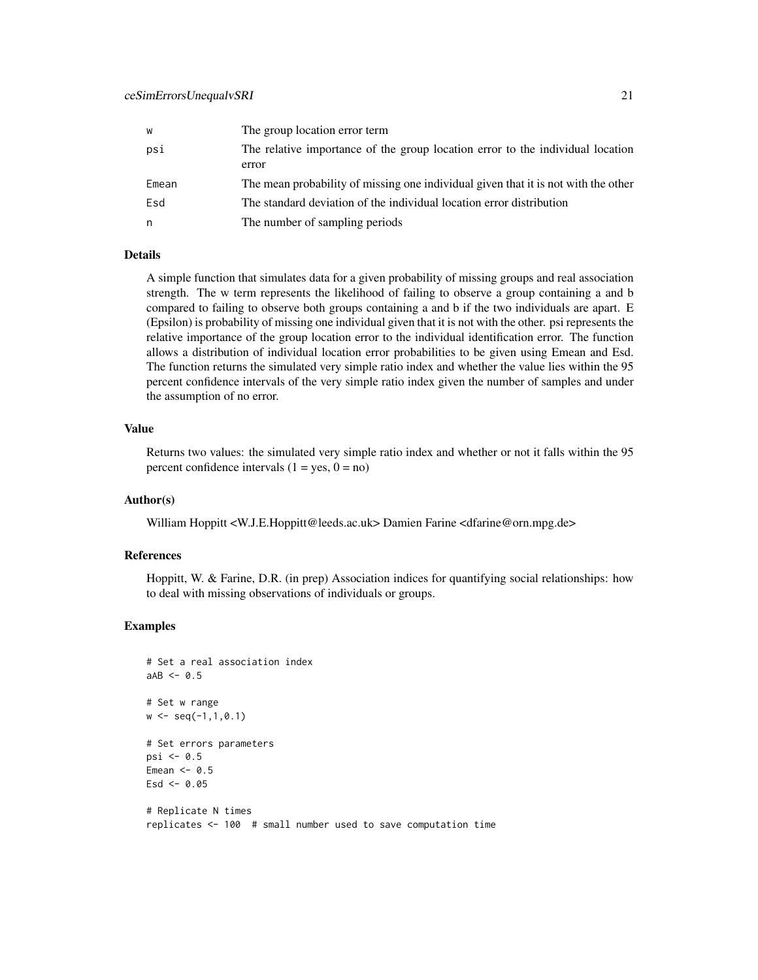| w     | The group location error term                                                           |
|-------|-----------------------------------------------------------------------------------------|
| psi   | The relative importance of the group location error to the individual location<br>error |
| Emean | The mean probability of missing one individual given that it is not with the other      |
| Esd   | The standard deviation of the individual location error distribution                    |
| n     | The number of sampling periods                                                          |

#### Details

A simple function that simulates data for a given probability of missing groups and real association strength. The w term represents the likelihood of failing to observe a group containing a and b compared to failing to observe both groups containing a and b if the two individuals are apart. E (Epsilon) is probability of missing one individual given that it is not with the other. psi represents the relative importance of the group location error to the individual identification error. The function allows a distribution of individual location error probabilities to be given using Emean and Esd. The function returns the simulated very simple ratio index and whether the value lies within the 95 percent confidence intervals of the very simple ratio index given the number of samples and under the assumption of no error.

# Value

Returns two values: the simulated very simple ratio index and whether or not it falls within the 95 percent confidence intervals  $(1 = yes, 0 = no)$ 

#### Author(s)

William Hoppitt <W.J.E.Hoppitt@leeds.ac.uk> Damien Farine <dfarine@orn.mpg.de>

#### References

Hoppitt, W. & Farine, D.R. (in prep) Association indices for quantifying social relationships: how to deal with missing observations of individuals or groups.

```
# Set a real association index
aAB < -0.5# Set w range
w \leq -\text{seq}(-1,1,0.1)# Set errors parameters
psi <- 0.5
Emean <-0.5Esd < -0.05# Replicate N times
replicates <- 100 # small number used to save computation time
```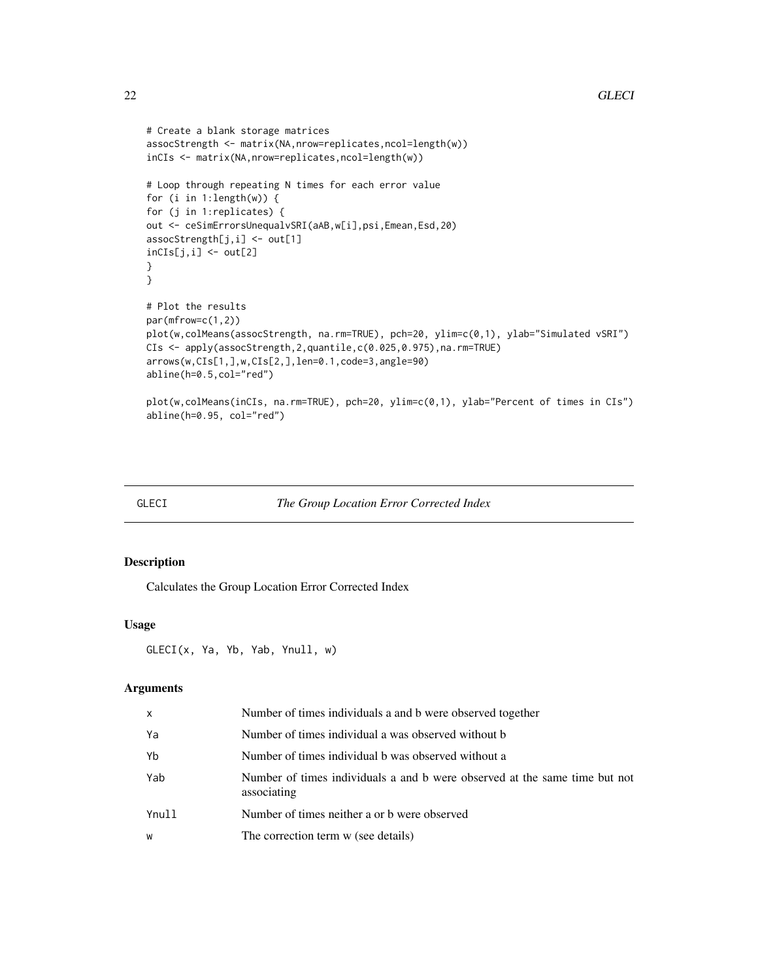```
# Create a blank storage matrices
assocStrength <- matrix(NA,nrow=replicates,ncol=length(w))
inCIs <- matrix(NA,nrow=replicates,ncol=length(w))
# Loop through repeating N times for each error value
for (i in 1:length(w)) {
for (j in 1:replicates) {
out <- ceSimErrorsUnequalvSRI(aAB,w[i],psi,Emean,Esd,20)
assocStrength[j,i] <- out[1]
inCIs[j,i] < -out[2]}
}
# Plot the results
par(mfrow=c(1,2))
plot(w,colMeans(assocStrength, na.rm=TRUE), pch=20, ylim=c(0,1), ylab="Simulated vSRI")
CIs <- apply(assocStrength,2,quantile,c(0.025,0.975),na.rm=TRUE)
arrows(w,CIs[1,],w,CIs[2,],len=0.1,code=3,angle=90)
abline(h=0.5,col="red")
plot(w,colMeans(inCIs, na.rm=TRUE), pch=20, ylim=c(0,1), ylab="Percent of times in CIs")
abline(h=0.95, col="red")
```
# GLECI *The Group Location Error Corrected Index*

#### Description

Calculates the Group Location Error Corrected Index

# Usage

```
GLECI(x, Ya, Yb, Yab, Ynull, w)
```
# Arguments

| x     | Number of times individuals a and b were observed together                                |
|-------|-------------------------------------------------------------------------------------------|
| Ya    | Number of times individual a was observed without b                                       |
| Yb    | Number of times individual b was observed without a                                       |
| Yab   | Number of times individuals a and b were observed at the same time but not<br>associating |
| Ynull | Number of times neither a or b were observed                                              |
| w     | The correction term w (see details)                                                       |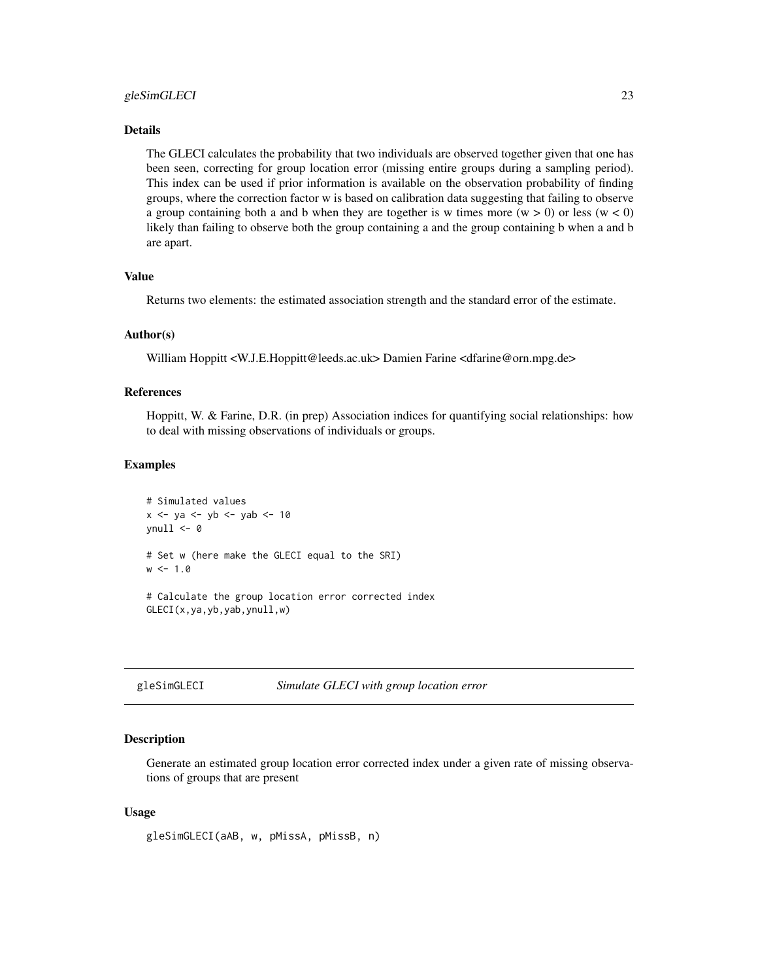# <span id="page-22-0"></span>gleSimGLECI 23

# Details

The GLECI calculates the probability that two individuals are observed together given that one has been seen, correcting for group location error (missing entire groups during a sampling period). This index can be used if prior information is available on the observation probability of finding groups, where the correction factor w is based on calibration data suggesting that failing to observe a group containing both a and b when they are together is w times more  $(w > 0)$  or less  $(w < 0)$ likely than failing to observe both the group containing a and the group containing b when a and b are apart.

#### Value

Returns two elements: the estimated association strength and the standard error of the estimate.

### Author(s)

William Hoppitt <W.J.E.Hoppitt@leeds.ac.uk> Damien Farine <dfarine@orn.mpg.de>

#### References

Hoppitt, W. & Farine, D.R. (in prep) Association indices for quantifying social relationships: how to deal with missing observations of individuals or groups.

#### Examples

```
# Simulated values
x <- ya <- yb <- yab <- 10
vnull \leftarrow 0# Set w (here make the GLECI equal to the SRI)
w < -1.0# Calculate the group location error corrected index
GLECI(x,ya,yb,yab,ynull,w)
```

| gleSimGLECI<br>Simulate GLECI with group location error |  |  |
|---------------------------------------------------------|--|--|
|---------------------------------------------------------|--|--|

#### Description

Generate an estimated group location error corrected index under a given rate of missing observations of groups that are present

# Usage

gleSimGLECI(aAB, w, pMissA, pMissB, n)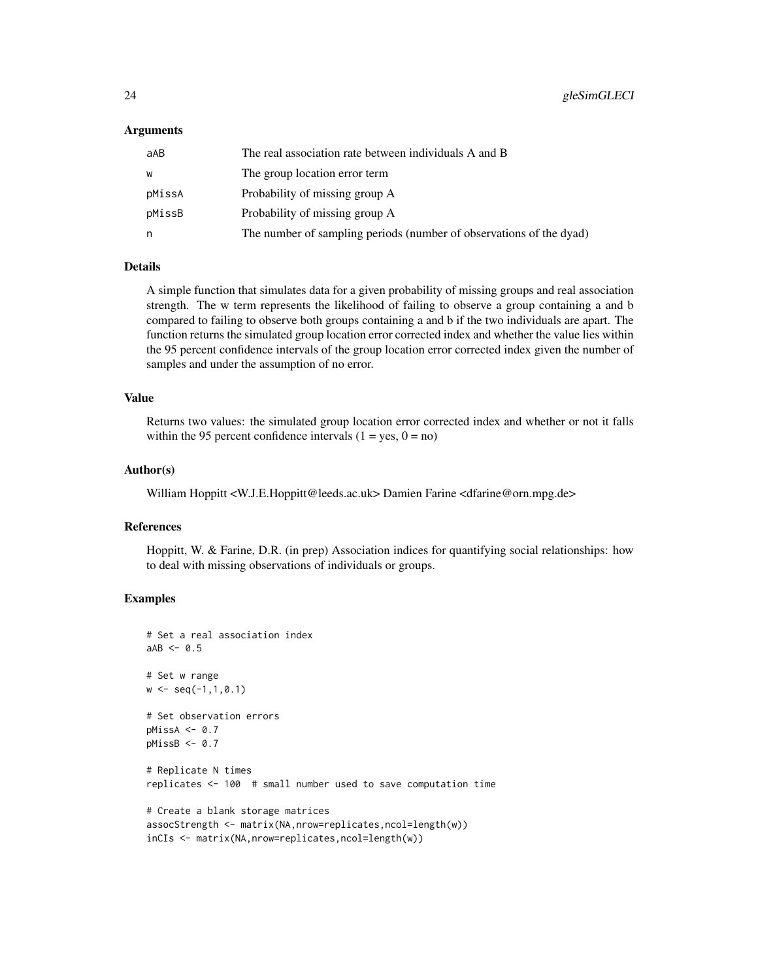#### Arguments

| aAB    | The real association rate between individuals A and B               |
|--------|---------------------------------------------------------------------|
| W      | The group location error term                                       |
| pMissA | Probability of missing group A                                      |
| pMissB | Probability of missing group A                                      |
| n      | The number of sampling periods (number of observations of the dyad) |

#### Details

A simple function that simulates data for a given probability of missing groups and real association strength. The w term represents the likelihood of failing to observe a group containing a and b compared to failing to observe both groups containing a and b if the two individuals are apart. The function returns the simulated group location error corrected index and whether the value lies within the 95 percent confidence intervals of the group location error corrected index given the number of samples and under the assumption of no error.

#### Value

Returns two values: the simulated group location error corrected index and whether or not it falls within the 95 percent confidence intervals  $(1 = yes, 0 = no)$ 

#### Author(s)

William Hoppitt <W.J.E.Hoppitt@leeds.ac.uk> Damien Farine <dfarine@orn.mpg.de>

#### References

Hoppitt, W. & Farine, D.R. (in prep) Association indices for quantifying social relationships: how to deal with missing observations of individuals or groups.

```
# Set a real association index
aAB < -0.5# Set w range
w \leq -\text{seq}(-1,1,0.1)# Set observation errors
pMissA < -0.7pMissB < -0.7# Replicate N times
replicates <- 100 # small number used to save computation time
# Create a blank storage matrices
assocStrength <- matrix(NA,nrow=replicates,ncol=length(w))
inCIs <- matrix(NA,nrow=replicates,ncol=length(w))
```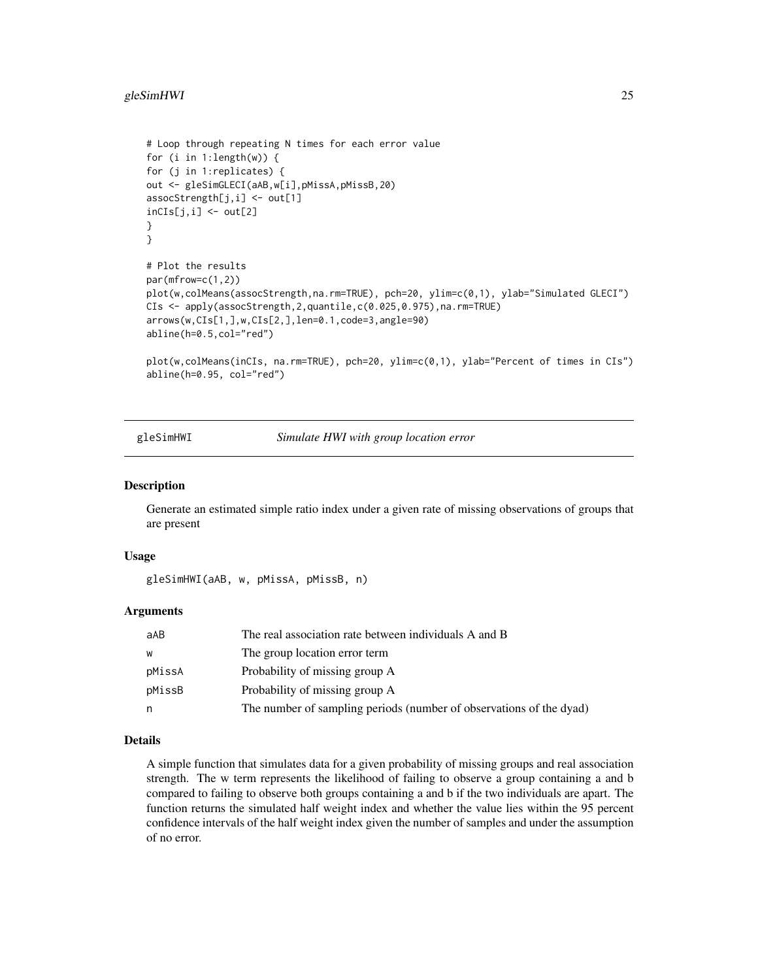# <span id="page-24-0"></span>gleSimHWI 25

```
# Loop through repeating N times for each error value
for (i in 1:length(w)) {
for (j in 1:replicates) {
out <- gleSimGLECI(aAB,w[i],pMissA,pMissB,20)
assocStrength[j,i] <- out[1]
incIs[j,i] < -out[2]}
}
# Plot the results
par(mfrow=c(1,2))
plot(w,colMeans(assocStrength,na.rm=TRUE), pch=20, ylim=c(0,1), ylab="Simulated GLECI")
CIs <- apply(assocStrength,2,quantile,c(0.025,0.975),na.rm=TRUE)
arrows(w,CIs[1,],w,CIs[2,],len=0.1,code=3,angle=90)
abline(h=0.5,col="red")
plot(w,colMeans(inCIs, na.rm=TRUE), pch=20, ylim=c(0,1), ylab="Percent of times in CIs")
abline(h=0.95, col="red")
```
gleSimHWI *Simulate HWI with group location error*

#### **Description**

Generate an estimated simple ratio index under a given rate of missing observations of groups that are present

# Usage

gleSimHWI(aAB, w, pMissA, pMissB, n)

# Arguments

| aAB    | The real association rate between individuals A and B               |
|--------|---------------------------------------------------------------------|
| W      | The group location error term                                       |
| pMissA | Probability of missing group A                                      |
| pMissB | Probability of missing group A                                      |
| n      | The number of sampling periods (number of observations of the dyad) |

#### Details

A simple function that simulates data for a given probability of missing groups and real association strength. The w term represents the likelihood of failing to observe a group containing a and b compared to failing to observe both groups containing a and b if the two individuals are apart. The function returns the simulated half weight index and whether the value lies within the 95 percent confidence intervals of the half weight index given the number of samples and under the assumption of no error.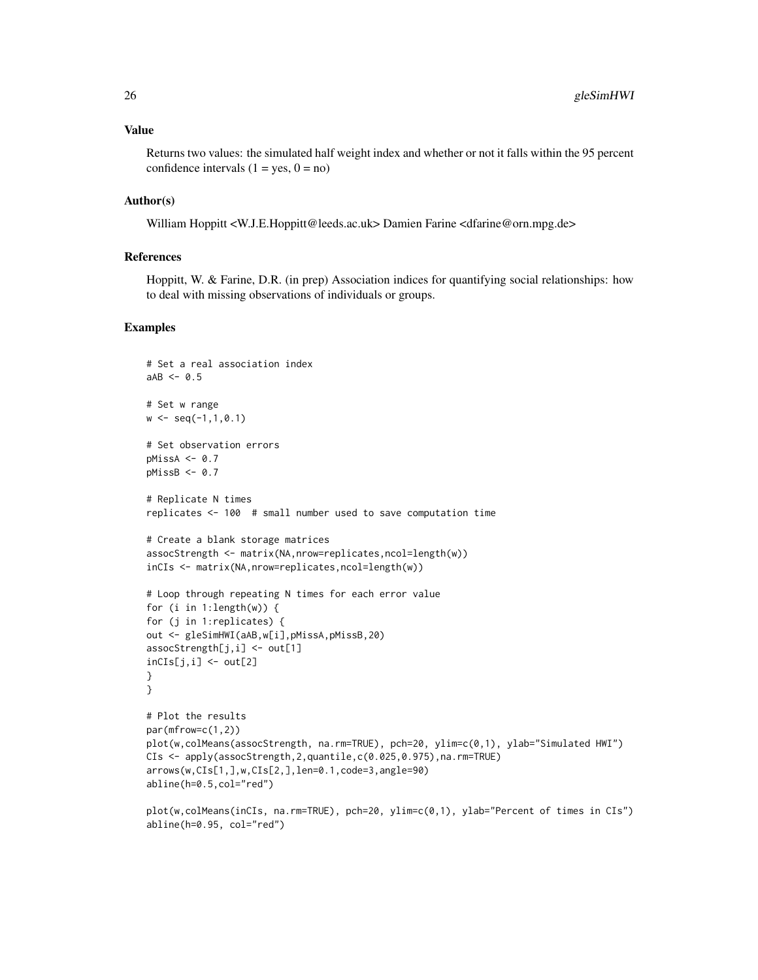Returns two values: the simulated half weight index and whether or not it falls within the 95 percent confidence intervals  $(1 = yes, 0 = no)$ 

### Author(s)

William Hoppitt <W.J.E.Hoppitt@leeds.ac.uk> Damien Farine <dfarine@orn.mpg.de>

# References

Hoppitt, W. & Farine, D.R. (in prep) Association indices for quantifying social relationships: how to deal with missing observations of individuals or groups.

```
# Set a real association index
aAB < -0.5# Set w range
w \leq -\text{seq}(-1,1,0.1)# Set observation errors
pMissA < -0.7pMissB \leftarrow 0.7# Replicate N times
replicates <- 100 # small number used to save computation time
# Create a blank storage matrices
assocStrength <- matrix(NA,nrow=replicates,ncol=length(w))
inCIs <- matrix(NA,nrow=replicates,ncol=length(w))
# Loop through repeating N times for each error value
for (i in 1:length(w)) {
for (j in 1:replicates) {
out <- gleSimHWI(aAB,w[i],pMissA,pMissB,20)
assocStrength[j,i] <- out[1]
incIs[j,i] < -out[2]}
}
# Plot the results
par(mfrow=c(1,2))
plot(w,colMeans(assocStrength, na.rm=TRUE), pch=20, ylim=c(0,1), ylab="Simulated HWI")
CIs <- apply(assocStrength,2,quantile,c(0.025,0.975),na.rm=TRUE)
arrows(w,CIs[1,],w,CIs[2,],len=0.1,code=3,angle=90)
abline(h=0.5,col="red")
plot(w,colMeans(inCIs, na.rm=TRUE), pch=20, ylim=c(0,1), ylab="Percent of times in CIs")
```

```
abline(h=0.95, col="red")
```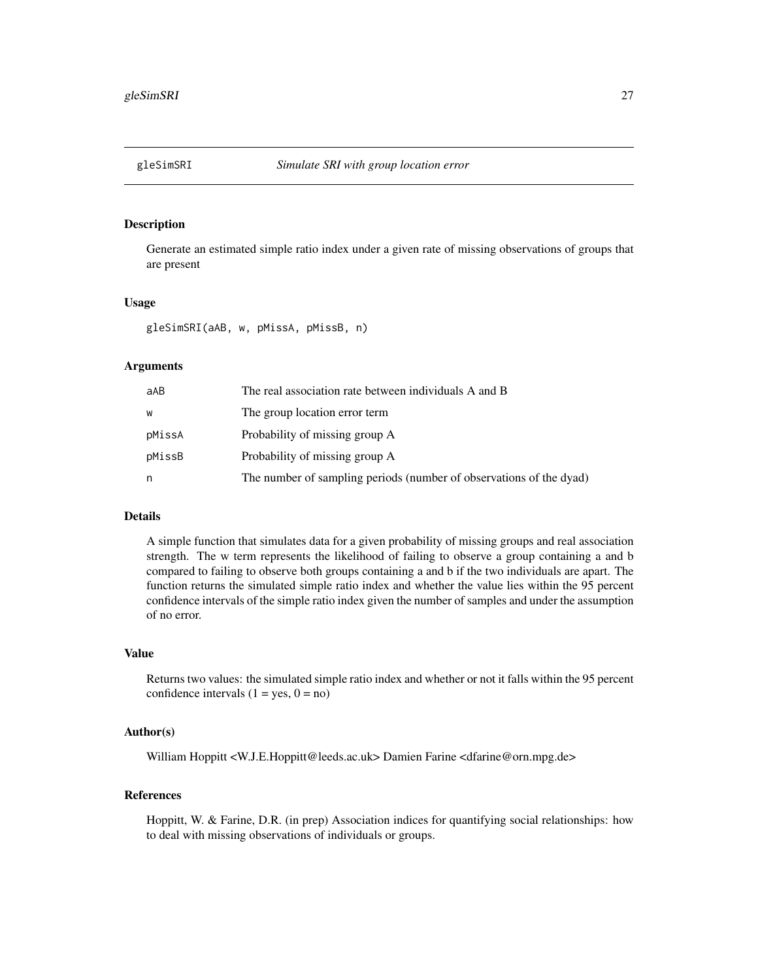<span id="page-26-0"></span>

# Description

Generate an estimated simple ratio index under a given rate of missing observations of groups that are present

#### Usage

gleSimSRI(aAB, w, pMissA, pMissB, n)

# Arguments

| aAB    | The real association rate between individuals A and B               |
|--------|---------------------------------------------------------------------|
| W      | The group location error term                                       |
| pMissA | Probability of missing group A                                      |
| pMissB | Probability of missing group A                                      |
| n      | The number of sampling periods (number of observations of the dyad) |

# Details

A simple function that simulates data for a given probability of missing groups and real association strength. The w term represents the likelihood of failing to observe a group containing a and b compared to failing to observe both groups containing a and b if the two individuals are apart. The function returns the simulated simple ratio index and whether the value lies within the 95 percent confidence intervals of the simple ratio index given the number of samples and under the assumption of no error.

# Value

Returns two values: the simulated simple ratio index and whether or not it falls within the 95 percent confidence intervals  $(1 = yes, 0 = no)$ 

### Author(s)

William Hoppitt <W.J.E.Hoppitt@leeds.ac.uk> Damien Farine <dfarine@orn.mpg.de>

# References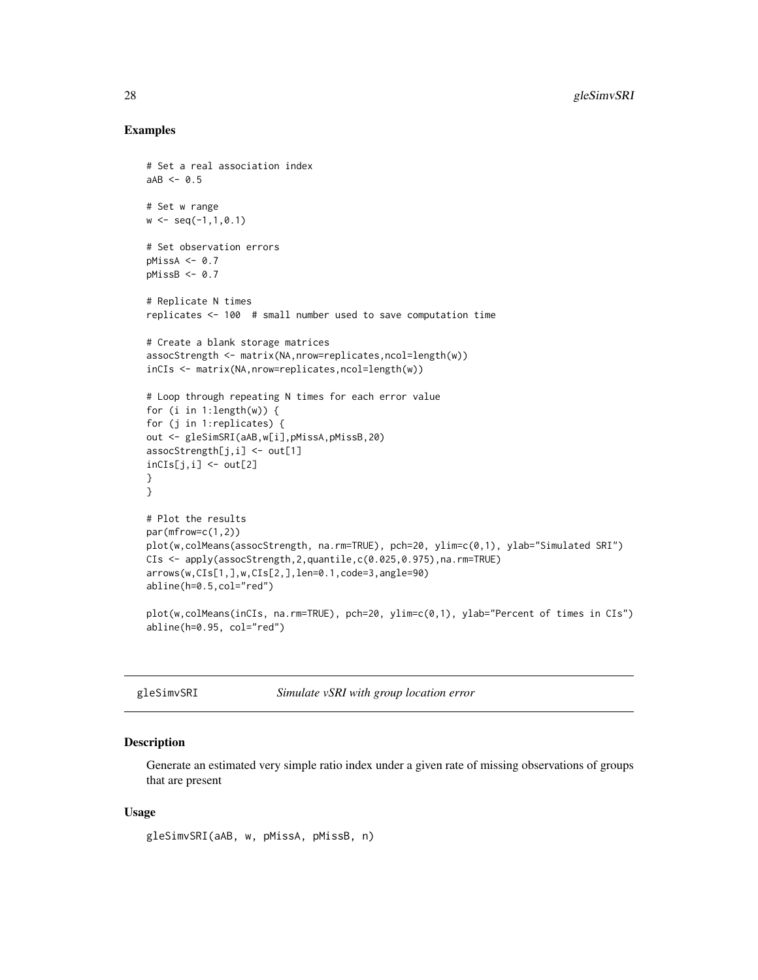### Examples

```
# Set a real association index
aAB < -0.5# Set w range
w \leq -\text{seq}(-1,1,0.1)# Set observation errors
pMissA < -0.7pMissB \leftarrow 0.7# Replicate N times
replicates <- 100 # small number used to save computation time
# Create a blank storage matrices
assocStrength <- matrix(NA,nrow=replicates,ncol=length(w))
inCIs <- matrix(NA,nrow=replicates,ncol=length(w))
# Loop through repeating N times for each error value
for (i in 1:length(w)) {
for (j in 1:replicates) {
out <- gleSimSRI(aAB,w[i],pMissA,pMissB,20)
assocStrength[j,i] <- out[1]
inCIs[j,i] < -out[2]}
}
# Plot the results
par(mfrow=c(1,2))
plot(w,colMeans(assocStrength, na.rm=TRUE), pch=20, ylim=c(0,1), ylab="Simulated SRI")
CIs <- apply(assocStrength,2,quantile,c(0.025,0.975),na.rm=TRUE)
arrows(w,CIs[1,],w,CIs[2,],len=0.1,code=3,angle=90)
abline(h=0.5,col="red")
plot(w,colMeans(inCIs, na.rm=TRUE), pch=20, ylim=c(0,1), ylab="Percent of times in CIs")
abline(h=0.95, col="red")
```

| gleSimvSRI | Simulate vSRI with group location error |  |
|------------|-----------------------------------------|--|
|------------|-----------------------------------------|--|

# Description

Generate an estimated very simple ratio index under a given rate of missing observations of groups that are present

#### Usage

gleSimvSRI(aAB, w, pMissA, pMissB, n)

<span id="page-27-0"></span>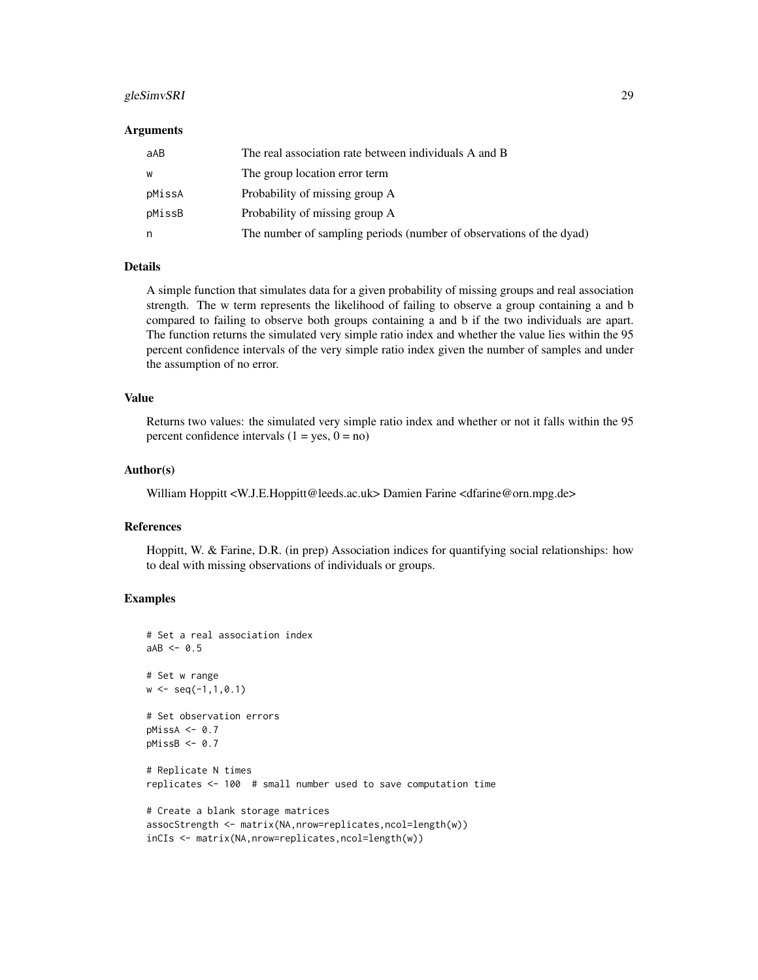# gleSimvSRI 29

#### Arguments

| aAB    | The real association rate between individuals A and B               |
|--------|---------------------------------------------------------------------|
| W      | The group location error term                                       |
| pMissA | Probability of missing group A                                      |
| pMissB | Probability of missing group A                                      |
| n      | The number of sampling periods (number of observations of the dyad) |

#### Details

A simple function that simulates data for a given probability of missing groups and real association strength. The w term represents the likelihood of failing to observe a group containing a and b compared to failing to observe both groups containing a and b if the two individuals are apart. The function returns the simulated very simple ratio index and whether the value lies within the 95 percent confidence intervals of the very simple ratio index given the number of samples and under the assumption of no error.

#### Value

Returns two values: the simulated very simple ratio index and whether or not it falls within the 95 percent confidence intervals  $(1 = yes, 0 = no)$ 

#### Author(s)

William Hoppitt <W.J.E.Hoppitt@leeds.ac.uk> Damien Farine <dfarine@orn.mpg.de>

#### References

Hoppitt, W. & Farine, D.R. (in prep) Association indices for quantifying social relationships: how to deal with missing observations of individuals or groups.

```
# Set a real association index
aAB < -0.5# Set w range
w \leq -\text{seq}(-1,1,0.1)# Set observation errors
pMissA < -0.7pMissB < -0.7# Replicate N times
replicates <- 100 # small number used to save computation time
# Create a blank storage matrices
assocStrength <- matrix(NA,nrow=replicates,ncol=length(w))
inCIs <- matrix(NA,nrow=replicates,ncol=length(w))
```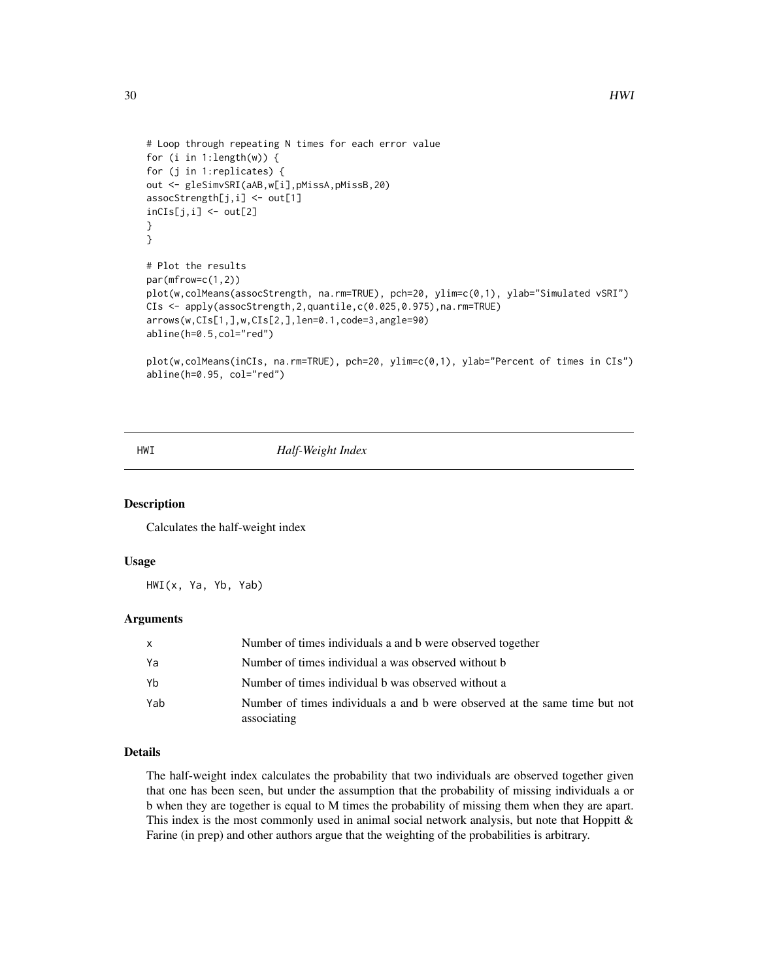```
# Loop through repeating N times for each error value
for (i in 1:length(w)) {
for (j in 1:replicates) {
out <- gleSimvSRI(aAB,w[i],pMissA,pMissB,20)
assocStrength[j,i] <- out[1]
incIs[j,i] < -out[2]}
}
# Plot the results
par(mfrow=c(1,2))
plot(w,colMeans(assocStrength, na.rm=TRUE), pch=20, ylim=c(0,1), ylab="Simulated vSRI")
CIs <- apply(assocStrength,2,quantile,c(0.025,0.975),na.rm=TRUE)
arrows(w,CIs[1,],w,CIs[2,],len=0.1,code=3,angle=90)
abline(h=0.5,col="red")
plot(w,colMeans(inCIs, na.rm=TRUE), pch=20, ylim=c(0,1), ylab="Percent of times in CIs")
abline(h=0.95, col="red")
```
#### HWI *Half-Weight Index*

# Description

Calculates the half-weight index

#### Usage

HWI(x, Ya, Yb, Yab)

#### Arguments

| x   | Number of times individuals a and b were observed together                                |
|-----|-------------------------------------------------------------------------------------------|
| Ya  | Number of times individual a was observed without b                                       |
| Yb  | Number of times individual b was observed without a                                       |
| Yab | Number of times individuals a and b were observed at the same time but not<br>associating |

#### Details

The half-weight index calculates the probability that two individuals are observed together given that one has been seen, but under the assumption that the probability of missing individuals a or b when they are together is equal to M times the probability of missing them when they are apart. This index is the most commonly used in animal social network analysis, but note that Hoppitt  $\&$ Farine (in prep) and other authors argue that the weighting of the probabilities is arbitrary.

<span id="page-29-0"></span>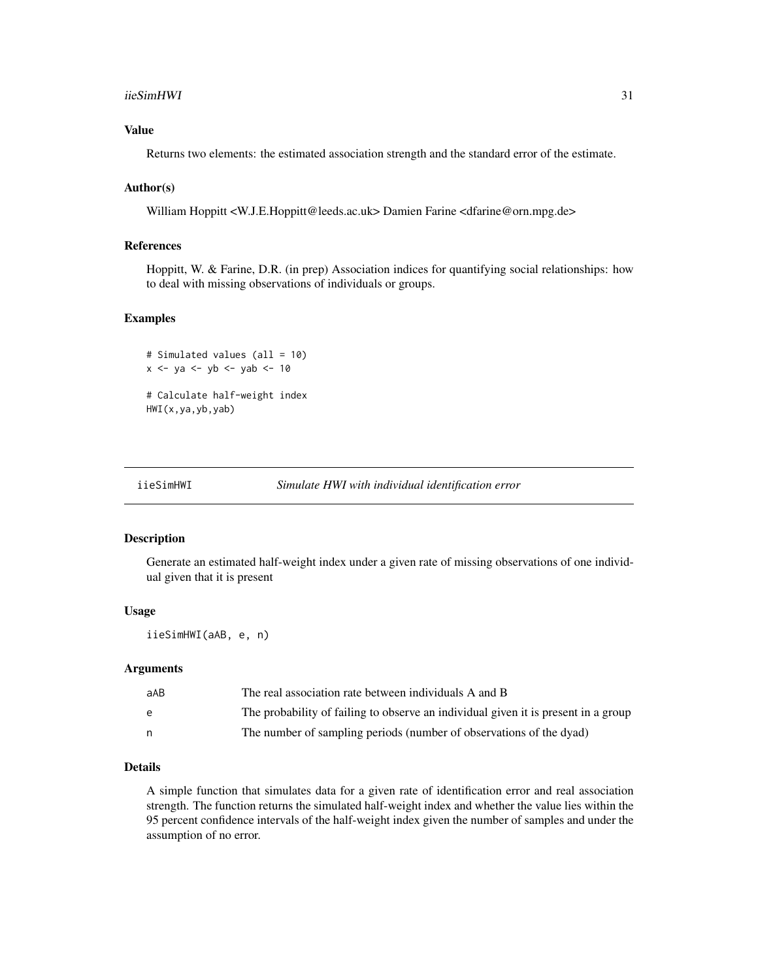#### <span id="page-30-0"></span>iieSimHWI 31

# Value

Returns two elements: the estimated association strength and the standard error of the estimate.

# Author(s)

William Hoppitt <W.J.E.Hoppitt@leeds.ac.uk> Damien Farine <dfarine@orn.mpg.de>

# References

Hoppitt, W. & Farine, D.R. (in prep) Association indices for quantifying social relationships: how to deal with missing observations of individuals or groups.

#### Examples

```
# Simulated values (all = 10)
x <- ya <- yb <- yab <- 10
```
# Calculate half-weight index HWI(x,ya,yb,yab)

```
iieSimHWI Simulate HWI with individual identification error
```
#### Description

Generate an estimated half-weight index under a given rate of missing observations of one individual given that it is present

# Usage

iieSimHWI(aAB, e, n)

#### Arguments

| aAB | The real association rate between individuals A and B                              |
|-----|------------------------------------------------------------------------------------|
| e   | The probability of failing to observe an individual given it is present in a group |
|     | The number of sampling periods (number of observations of the dyad)                |

#### Details

A simple function that simulates data for a given rate of identification error and real association strength. The function returns the simulated half-weight index and whether the value lies within the 95 percent confidence intervals of the half-weight index given the number of samples and under the assumption of no error.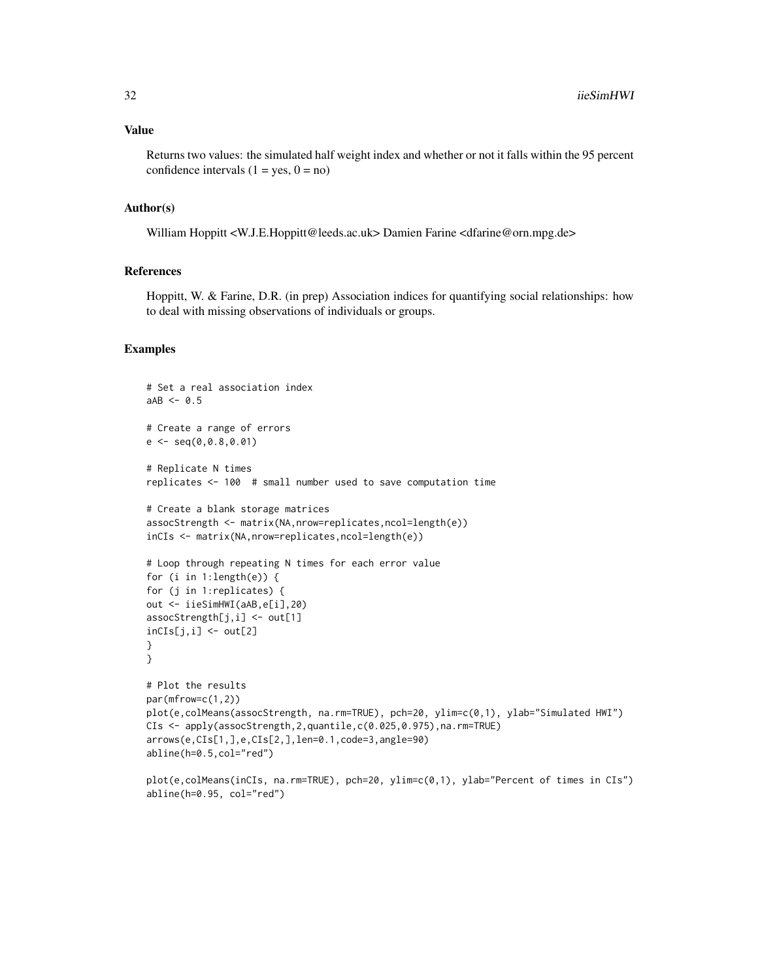Returns two values: the simulated half weight index and whether or not it falls within the 95 percent confidence intervals  $(1 = yes, 0 = no)$ 

#### Author(s)

William Hoppitt <W.J.E.Hoppitt@leeds.ac.uk> Damien Farine <dfarine@orn.mpg.de>

# References

Hoppitt, W. & Farine, D.R. (in prep) Association indices for quantifying social relationships: how to deal with missing observations of individuals or groups.

```
# Set a real association index
aAB < -0.5# Create a range of errors
e \leftarrow \text{seq}(0, 0.8, 0.01)# Replicate N times
replicates <- 100 # small number used to save computation time
# Create a blank storage matrices
assocStrength <- matrix(NA,nrow=replicates,ncol=length(e))
inCIs <- matrix(NA,nrow=replicates,ncol=length(e))
# Loop through repeating N times for each error value
for (i in 1:length(e)) {
for (j in 1:replicates) {
out <- iieSimHWI(aAB,e[i],20)
assocStrength[j,i] <- out[1]
inCIs[j,i] < -out[2]}
}
# Plot the results
par(mfrow=c(1,2))
plot(e,colMeans(assocStrength, na.rm=TRUE), pch=20, ylim=c(0,1), ylab="Simulated HWI")
CIs <- apply(assocStrength,2,quantile,c(0.025,0.975),na.rm=TRUE)
arrows(e,CIs[1,],e,CIs[2,],len=0.1,code=3,angle=90)
abline(h=0.5,col="red")
```

```
plot(e,colMeans(inCIs, na.rm=TRUE), pch=20, ylim=c(0,1), ylab="Percent of times in CIs")
abline(h=0.95, col="red")
```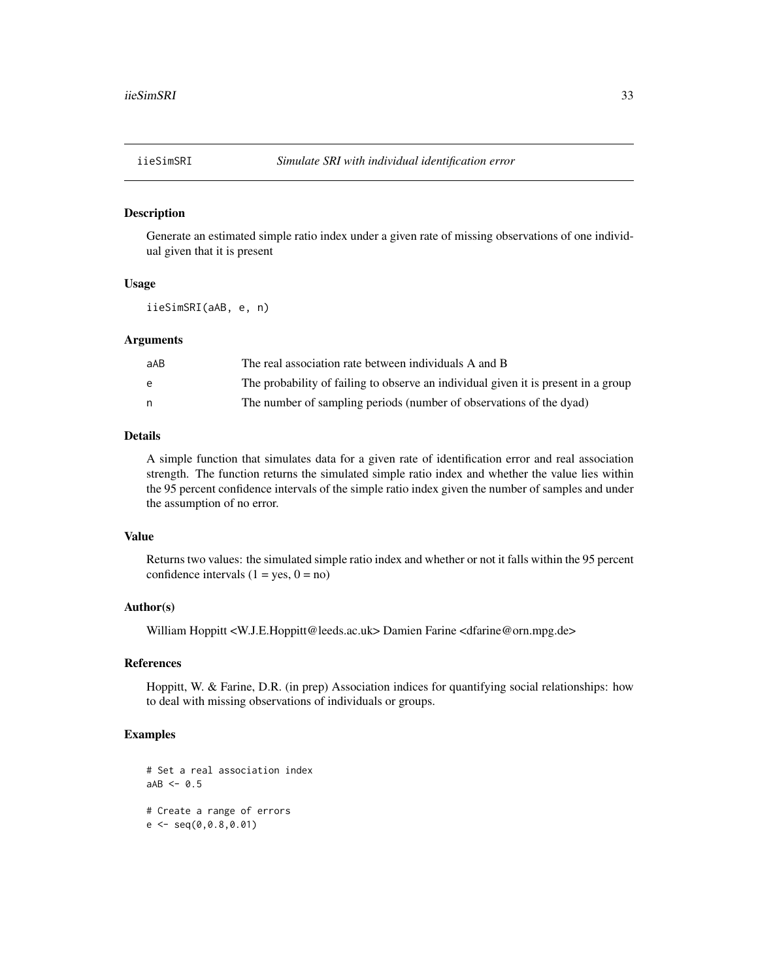#### <span id="page-32-0"></span>Description

Generate an estimated simple ratio index under a given rate of missing observations of one individual given that it is present

#### Usage

iieSimSRI(aAB, e, n)

# Arguments

| aAB | The real association rate between individuals A and B                              |
|-----|------------------------------------------------------------------------------------|
| e   | The probability of failing to observe an individual given it is present in a group |
|     | The number of sampling periods (number of observations of the dyad)                |

# Details

A simple function that simulates data for a given rate of identification error and real association strength. The function returns the simulated simple ratio index and whether the value lies within the 95 percent confidence intervals of the simple ratio index given the number of samples and under the assumption of no error.

# Value

Returns two values: the simulated simple ratio index and whether or not it falls within the 95 percent confidence intervals  $(1 = yes, 0 = no)$ 

#### Author(s)

William Hoppitt <W.J.E.Hoppitt@leeds.ac.uk> Damien Farine <dfarine@orn.mpg.de>

#### References

Hoppitt, W. & Farine, D.R. (in prep) Association indices for quantifying social relationships: how to deal with missing observations of individuals or groups.

```
# Set a real association index
aAB < -0.5# Create a range of errors
e \leftarrow \text{seq}(0, 0.8, 0.01)
```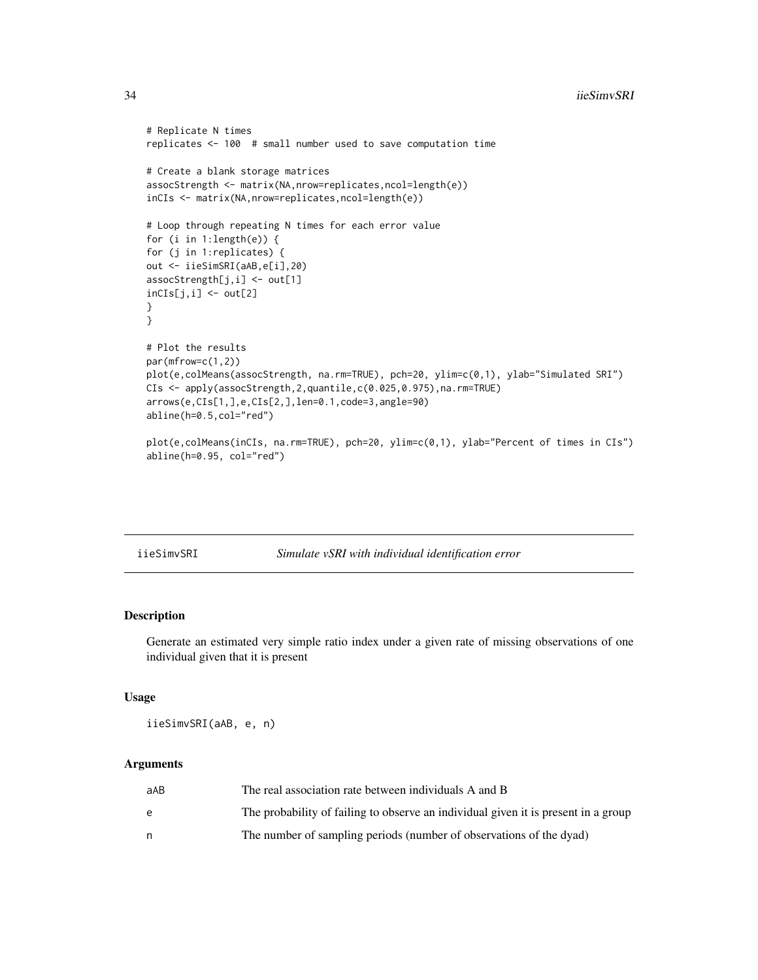```
# Replicate N times
replicates <- 100 # small number used to save computation time
# Create a blank storage matrices
assocStrength <- matrix(NA,nrow=replicates,ncol=length(e))
inCIs <- matrix(NA,nrow=replicates,ncol=length(e))
# Loop through repeating N times for each error value
for (i in 1:length(e)) {
for (j in 1:replicates) {
out <- iieSimSRI(aAB,e[i],20)
assocStrength[j,i] <- out[1]
incIs[j,i] < -out[2]}
}
# Plot the results
par(mfrow=c(1,2))
plot(e,colMeans(assocStrength, na.rm=TRUE), pch=20, ylim=c(0,1), ylab="Simulated SRI")
CIs <- apply(assocStrength,2,quantile,c(0.025,0.975),na.rm=TRUE)
arrows(e,CIs[1,],e,CIs[2,],len=0.1,code=3,angle=90)
abline(h=0.5,col="red")
plot(e,colMeans(inCIs, na.rm=TRUE), pch=20, ylim=c(0,1), ylab="Percent of times in CIs")
abline(h=0.95, col="red")
```
iieSimvSRI *Simulate vSRI with individual identification error*

#### Description

Generate an estimated very simple ratio index under a given rate of missing observations of one individual given that it is present

#### Usage

iieSimvSRI(aAB, e, n)

#### Arguments

| aAB | The real association rate between individuals A and B                              |
|-----|------------------------------------------------------------------------------------|
| e   | The probability of failing to observe an individual given it is present in a group |
|     | The number of sampling periods (number of observations of the dyad)                |

<span id="page-33-0"></span>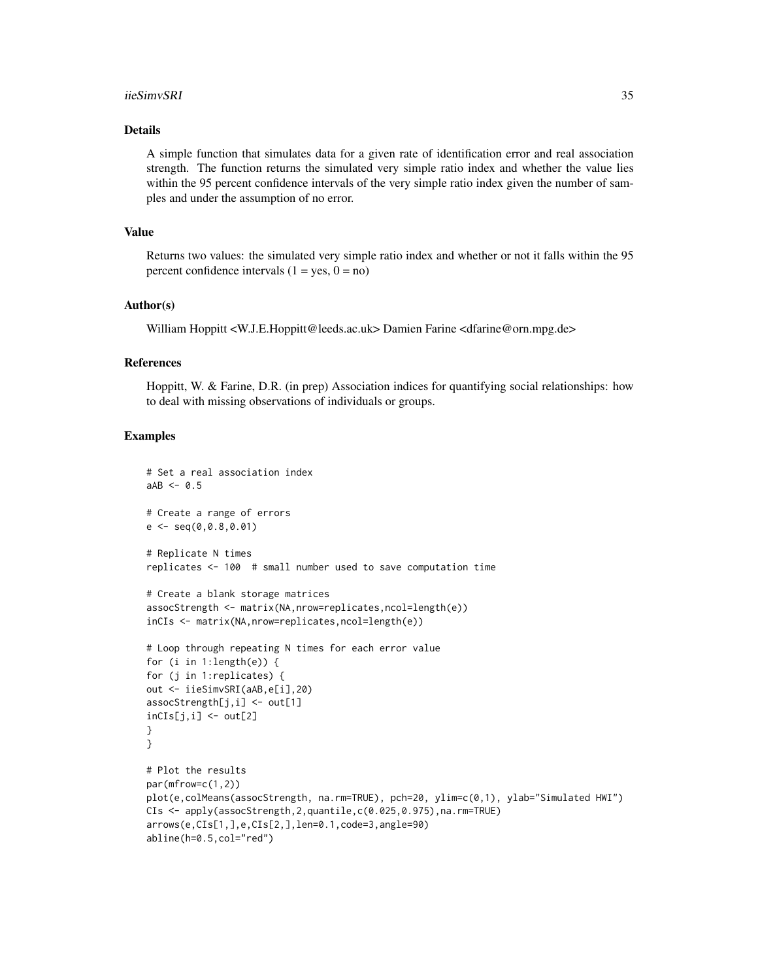#### iieSimvSRI 35

# Details

A simple function that simulates data for a given rate of identification error and real association strength. The function returns the simulated very simple ratio index and whether the value lies within the 95 percent confidence intervals of the very simple ratio index given the number of samples and under the assumption of no error.

# Value

Returns two values: the simulated very simple ratio index and whether or not it falls within the 95 percent confidence intervals  $(1 = yes, 0 = no)$ 

# Author(s)

William Hoppitt <W.J.E.Hoppitt@leeds.ac.uk> Damien Farine <dfarine@orn.mpg.de>

#### References

Hoppitt, W. & Farine, D.R. (in prep) Association indices for quantifying social relationships: how to deal with missing observations of individuals or groups.

```
# Set a real association index
aAB \leq -0.5# Create a range of errors
e \leq - \text{seq}(0, 0.8, 0.01)# Replicate N times
replicates <- 100 # small number used to save computation time
# Create a blank storage matrices
assocStrength <- matrix(NA,nrow=replicates,ncol=length(e))
inCIs <- matrix(NA,nrow=replicates,ncol=length(e))
# Loop through repeating N times for each error value
for (i in 1:length(e)) {
for (j in 1:replicates) {
out <- iieSimvSRI(aAB,e[i],20)
assocStreamgth[j,i] < -out[1]inCIs[j,i] \leftarrow out[2]}
}
# Plot the results
par(mfrow=c(1,2))
plot(e,colMeans(assocStrength, na.rm=TRUE), pch=20, ylim=c(0,1), ylab="Simulated HWI")
CIs <- apply(assocStrength,2,quantile,c(0.025,0.975),na.rm=TRUE)
arrows(e,CIs[1,],e,CIs[2,],len=0.1,code=3,angle=90)
abline(h=0.5,col="red")
```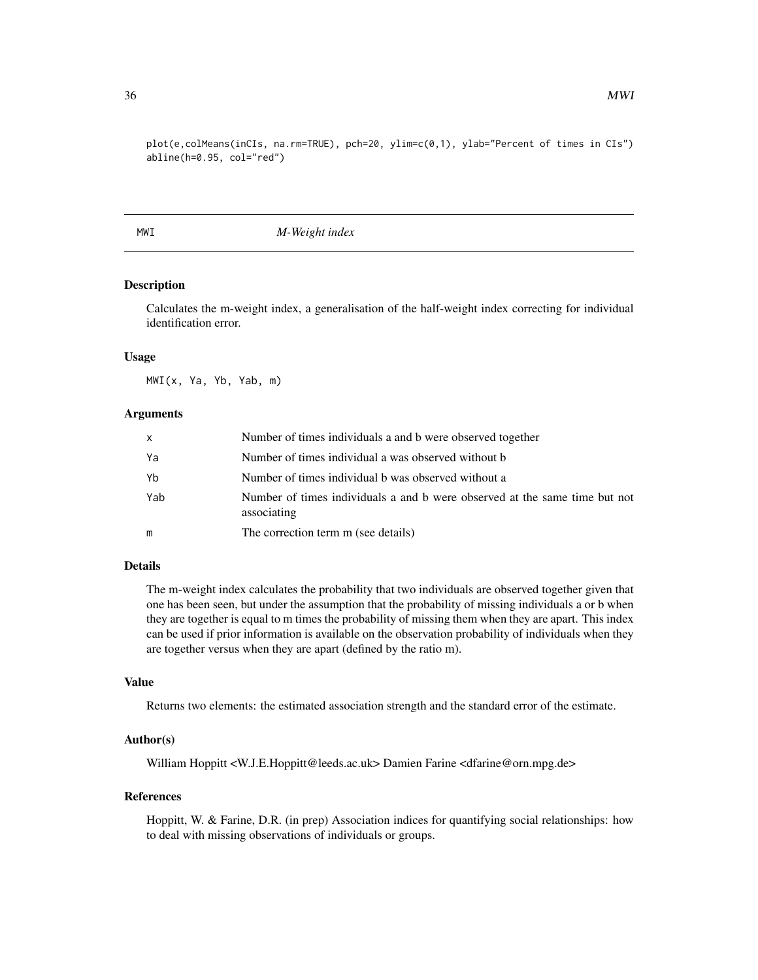<span id="page-35-0"></span>plot(e,colMeans(inCIs, na.rm=TRUE), pch=20, ylim=c(0,1), ylab="Percent of times in CIs") abline(h=0.95, col="red")

MWI *M-Weight index*

# Description

Calculates the m-weight index, a generalisation of the half-weight index correcting for individual identification error.

#### Usage

MWI(x, Ya, Yb, Yab, m)

#### Arguments

| $\mathsf{x}$ | Number of times individuals a and b were observed together                                |
|--------------|-------------------------------------------------------------------------------------------|
| Ya           | Number of times individual a was observed without b                                       |
| Yb           | Number of times individual b was observed without a                                       |
| Yab          | Number of times individuals a and b were observed at the same time but not<br>associating |
| m            | The correction term m (see details)                                                       |

# Details

The m-weight index calculates the probability that two individuals are observed together given that one has been seen, but under the assumption that the probability of missing individuals a or b when they are together is equal to m times the probability of missing them when they are apart. This index can be used if prior information is available on the observation probability of individuals when they are together versus when they are apart (defined by the ratio m).

#### Value

Returns two elements: the estimated association strength and the standard error of the estimate.

# Author(s)

William Hoppitt <W.J.E.Hoppitt@leeds.ac.uk> Damien Farine <dfarine@orn.mpg.de>

#### References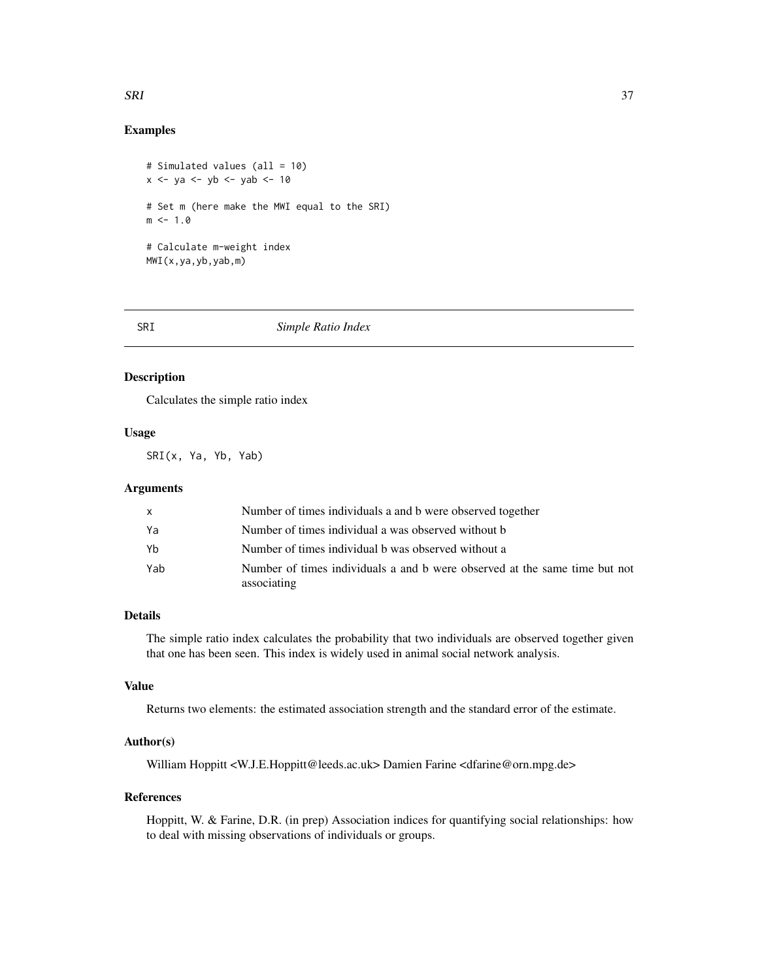#### <span id="page-36-0"></span>SRI 37

# Examples

```
# Simulated values (all = 10)
x \le -ya \le -yb \le -yab \le -10# Set m (here make the MWI equal to the SRI)
m < -1.0# Calculate m-weight index
MWI(x,ya,yb,yab,m)
```
#### SRI *Simple Ratio Index*

# Description

Calculates the simple ratio index

# Usage

SRI(x, Ya, Yb, Yab)

# Arguments

|     | Number of times individuals a and b were observed together                                |
|-----|-------------------------------------------------------------------------------------------|
| Ya  | Number of times individual a was observed without b                                       |
| Yb  | Number of times individual b was observed without a                                       |
| Yab | Number of times individuals a and b were observed at the same time but not<br>associating |

# Details

The simple ratio index calculates the probability that two individuals are observed together given that one has been seen. This index is widely used in animal social network analysis.

# Value

Returns two elements: the estimated association strength and the standard error of the estimate.

# Author(s)

William Hoppitt <W.J.E.Hoppitt@leeds.ac.uk> Damien Farine <dfarine@orn.mpg.de>

# References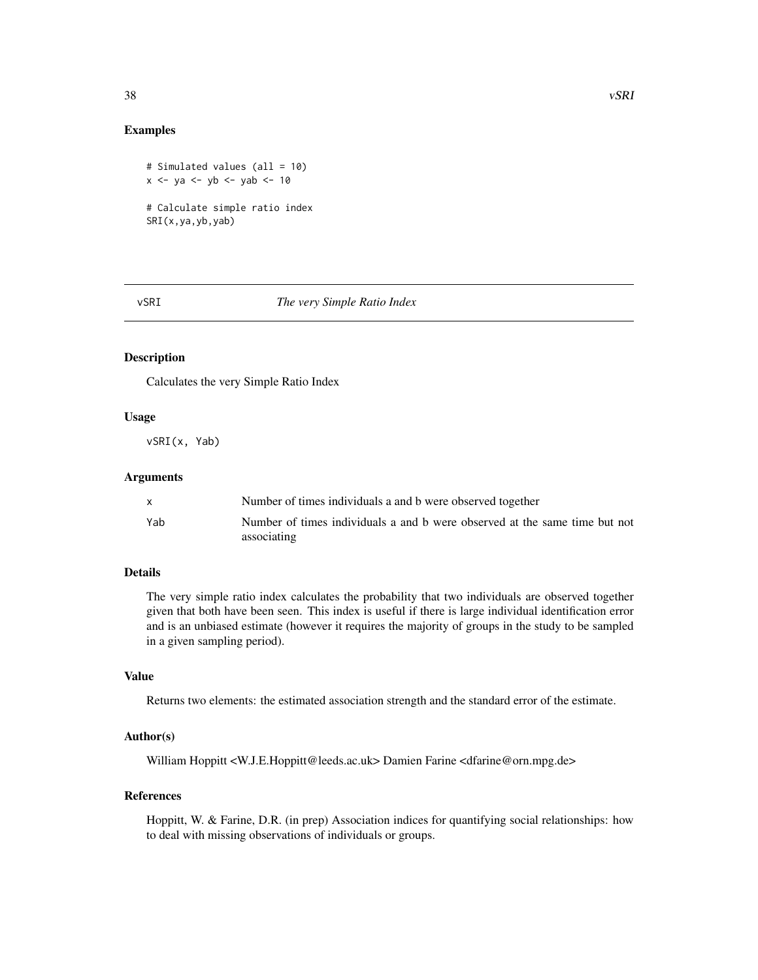### <span id="page-37-0"></span>Examples

```
# Simulated values (all = 10)
x \le -ya \le -yb \le -yab \le -10# Calculate simple ratio index
SRI(x,ya,yb,yab)
```
#### vSRI *The very Simple Ratio Index*

# Description

Calculates the very Simple Ratio Index

# Usage

vSRI(x, Yab)

# Arguments

|     | Number of times individuals a and b were observed together                 |
|-----|----------------------------------------------------------------------------|
| Yab | Number of times individuals a and b were observed at the same time but not |
|     | associating                                                                |

# Details

The very simple ratio index calculates the probability that two individuals are observed together given that both have been seen. This index is useful if there is large individual identification error and is an unbiased estimate (however it requires the majority of groups in the study to be sampled in a given sampling period).

#### Value

Returns two elements: the estimated association strength and the standard error of the estimate.

# Author(s)

William Hoppitt <W.J.E.Hoppitt@leeds.ac.uk> Damien Farine <dfarine@orn.mpg.de>

# References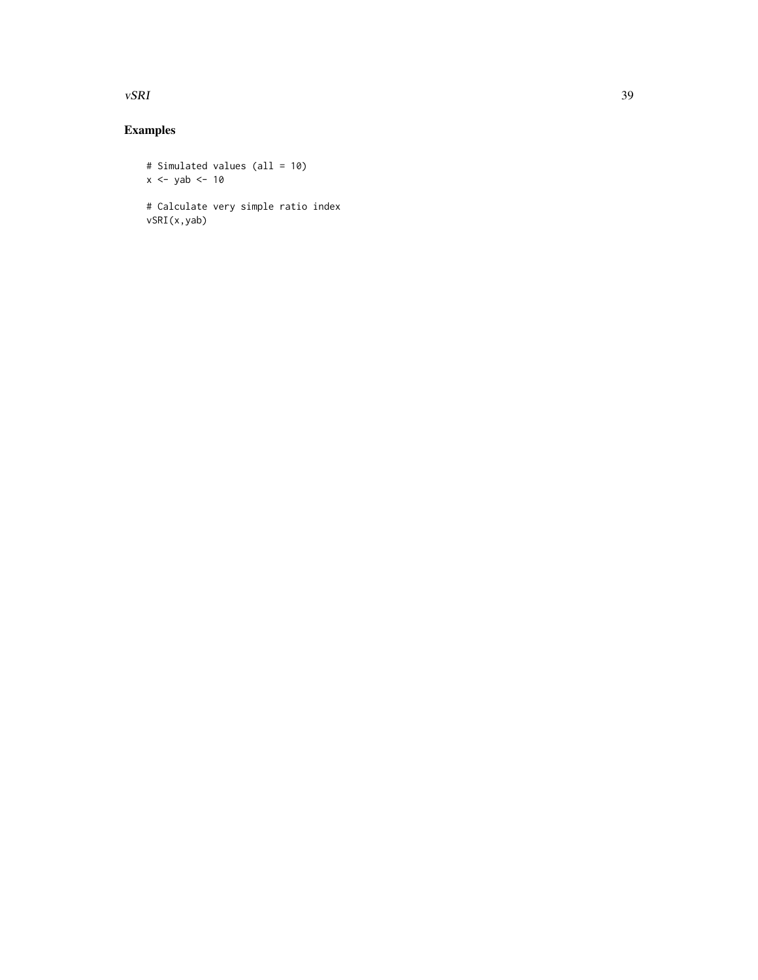#### $\sqrt{S}$  vSRI 39

# Examples

# Simulated values (all = 10) x <- yab <- 10 # Calculate very simple ratio index vSRI(x,yab)